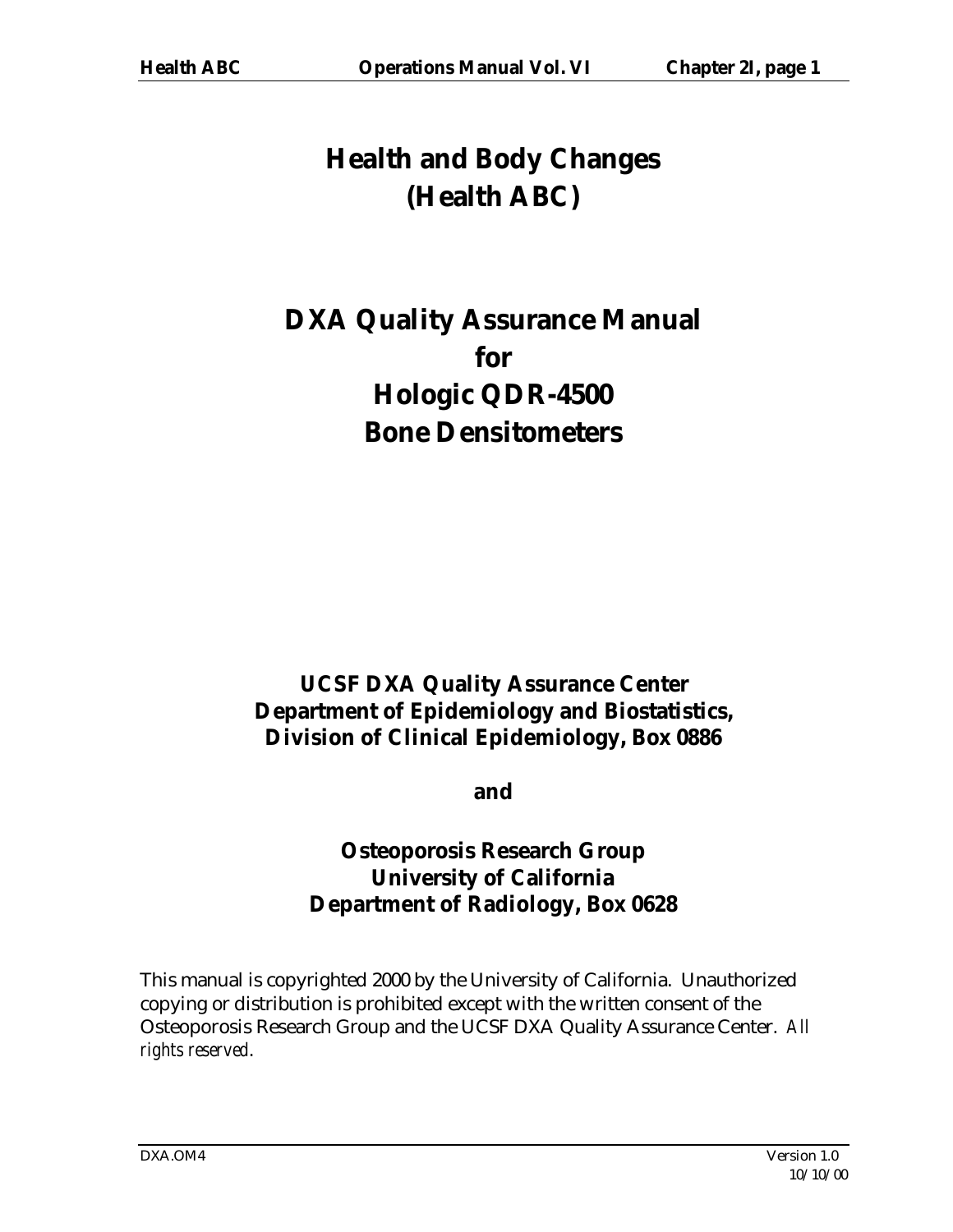# **Health and Body Changes (Health ABC)**

# **DXA Quality Assurance Manual for Hologic QDR-4500 Bone Densitometers**

# **UCSF DXA Quality Assurance Center Department of Epidemiology and Biostatistics, Division of Clinical Epidemiology, Box 0886**

**and** 

# **Osteoporosis Research Group University of California Department of Radiology, Box 0628**

This manual is copyrighted 2000 by the University of California. Unauthorized copying or distribution is prohibited except with the written consent of the Osteoporosis Research Group and the UCSF DXA Quality Assurance Center. *All rights reserved*.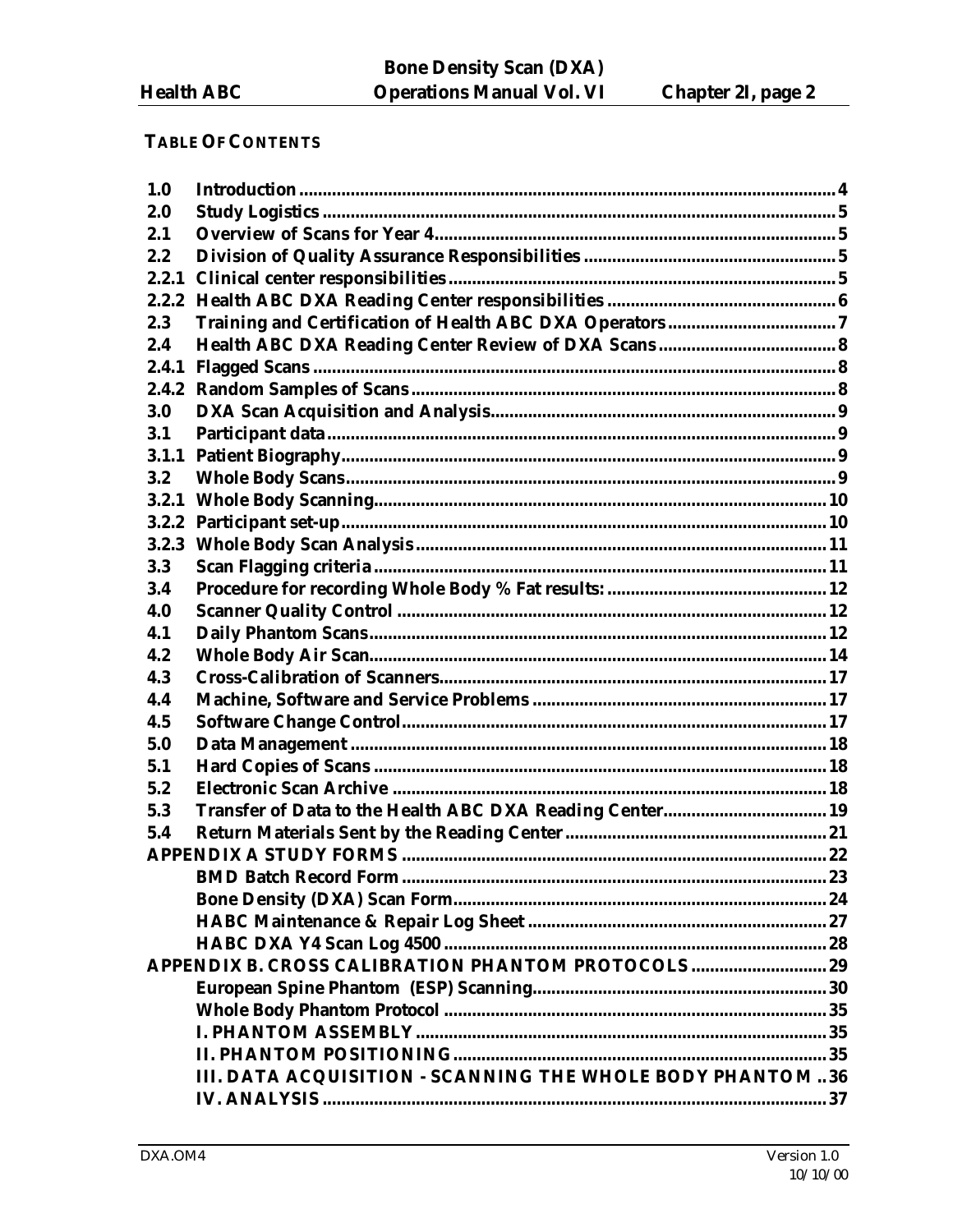# **TABLE OF CONTENTS**

| 1.0   |                                                           |  |
|-------|-----------------------------------------------------------|--|
| 2.0   |                                                           |  |
| 2.1   |                                                           |  |
| 2.2   |                                                           |  |
| 2.2.1 |                                                           |  |
| 2.2.2 |                                                           |  |
| 2.3   |                                                           |  |
| 2.4   |                                                           |  |
| 2.4.1 |                                                           |  |
|       |                                                           |  |
| 3.0   |                                                           |  |
| 3.1   |                                                           |  |
| 3.1.1 |                                                           |  |
| 3.2   |                                                           |  |
| 3.2.1 |                                                           |  |
|       |                                                           |  |
| 3.2.3 |                                                           |  |
| 3.3   |                                                           |  |
| 3.4   |                                                           |  |
| 4.0   |                                                           |  |
| 4.1   |                                                           |  |
| 4.2   |                                                           |  |
| 4.3   |                                                           |  |
| 4.4   |                                                           |  |
| 4.5   |                                                           |  |
| 5.0   |                                                           |  |
| 5.1   |                                                           |  |
| 5.2   |                                                           |  |
| 5.3   | Transfer of Data to the Health ABC DXA Reading Center 19  |  |
| 5.4   |                                                           |  |
|       |                                                           |  |
|       |                                                           |  |
|       |                                                           |  |
|       |                                                           |  |
|       |                                                           |  |
|       |                                                           |  |
|       |                                                           |  |
|       |                                                           |  |
|       |                                                           |  |
|       |                                                           |  |
|       | III. DATA ACQUISITION - SCANNING THE WHOLE BODY PHANTOM36 |  |
|       |                                                           |  |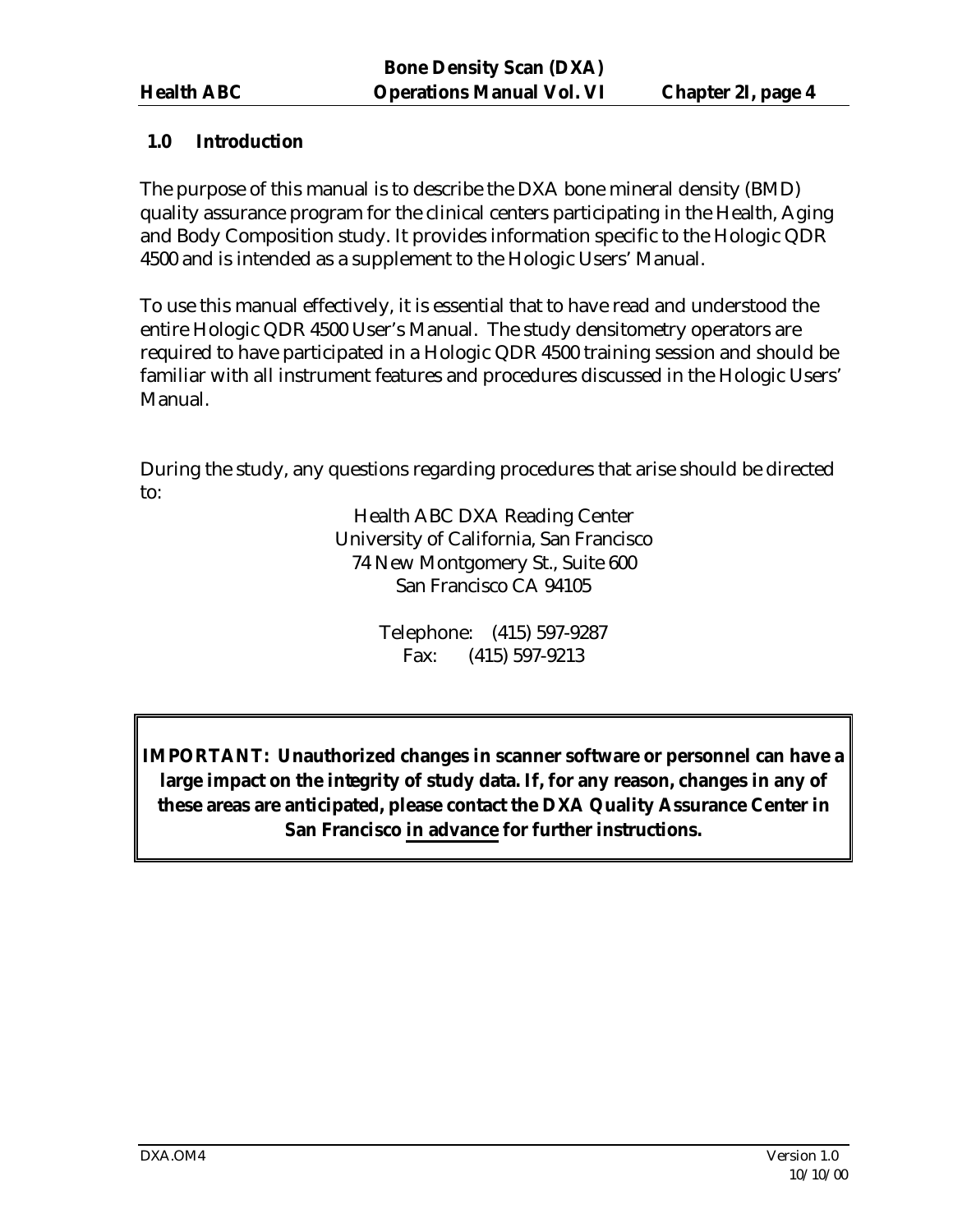### **1.0 Introduction**

The purpose of this manual is to describe the DXA bone mineral density (BMD) quality assurance program for the clinical centers participating in the Health, Aging and Body Composition study. It provides information specific to the Hologic QDR 4500 and is intended as a supplement to the Hologic Users' Manual.

To use this manual effectively, it is essential that to have read and understood the entire Hologic QDR 4500 User's Manual. The study densitometry operators are required to have participated in a Hologic QDR 4500 training session and should be familiar with all instrument features and procedures discussed in the Hologic Users' Manual.

During the study, any questions regarding procedures that arise should be directed to:

> Health ABC DXA Reading Center University of California, San Francisco 74 New Montgomery St., Suite 600 San Francisco CA 94105

> > Telephone: (415) 597-9287 Fax: (415) 597-9213

**IMPORTANT: Unauthorized changes in scanner software or personnel can have a large impact on the integrity of study data. If, for any reason, changes in any of these areas are anticipated, please contact the DXA Quality Assurance Center in San Francisco in advance for further instructions.**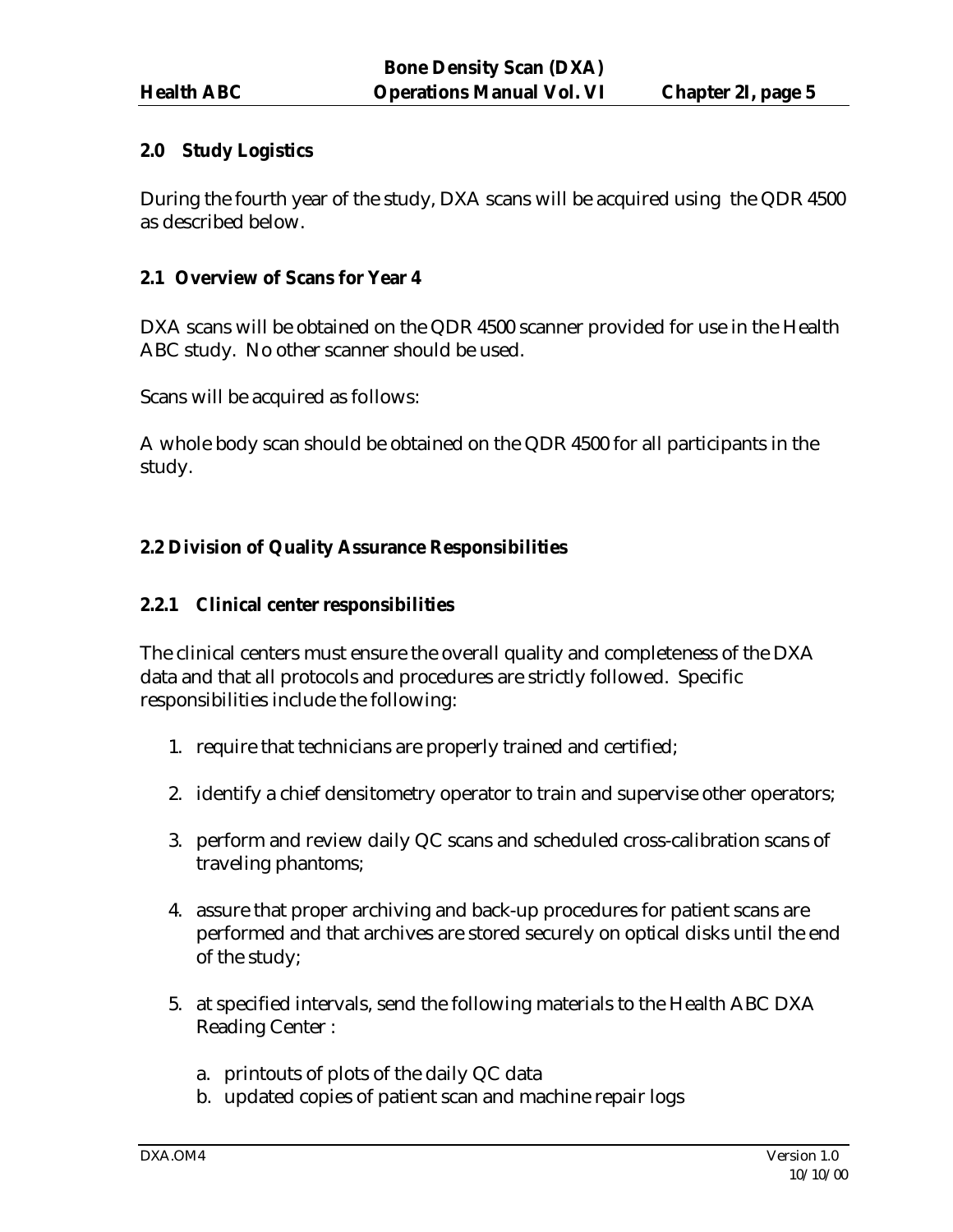#### **2.0 Study Logistics**

During the fourth year of the study, DXA scans will be acquired using the QDR 4500 as described below.

#### **2.1 Overview of Scans for Year 4**

DXA scans will be obtained on the QDR 4500 scanner provided for use in the Health ABC study. No other scanner should be used.

Scans will be acquired as follows:

A whole body scan should be obtained on the QDR 4500 for all participants in the study.

# **2.2 Division of Quality Assurance Responsibilities**

#### **2.2.1 Clinical center responsibilities**

The clinical centers must ensure the overall quality and completeness of the DXA data and that all protocols and procedures are strictly followed. Specific responsibilities include the following:

- 1. require that technicians are properly trained and certified;
- 2. identify a chief densitometry operator to train and supervise other operators;
- 3. perform and review daily QC scans and scheduled cross-calibration scans of traveling phantoms;
- 4. assure that proper archiving and back-up procedures for patient scans are performed and that archives are stored securely on optical disks until the end of the study;
- 5. at specified intervals, send the following materials to the Health ABC DXA Reading Center :
	- a. printouts of plots of the daily QC data
	- b. updated copies of patient scan and machine repair logs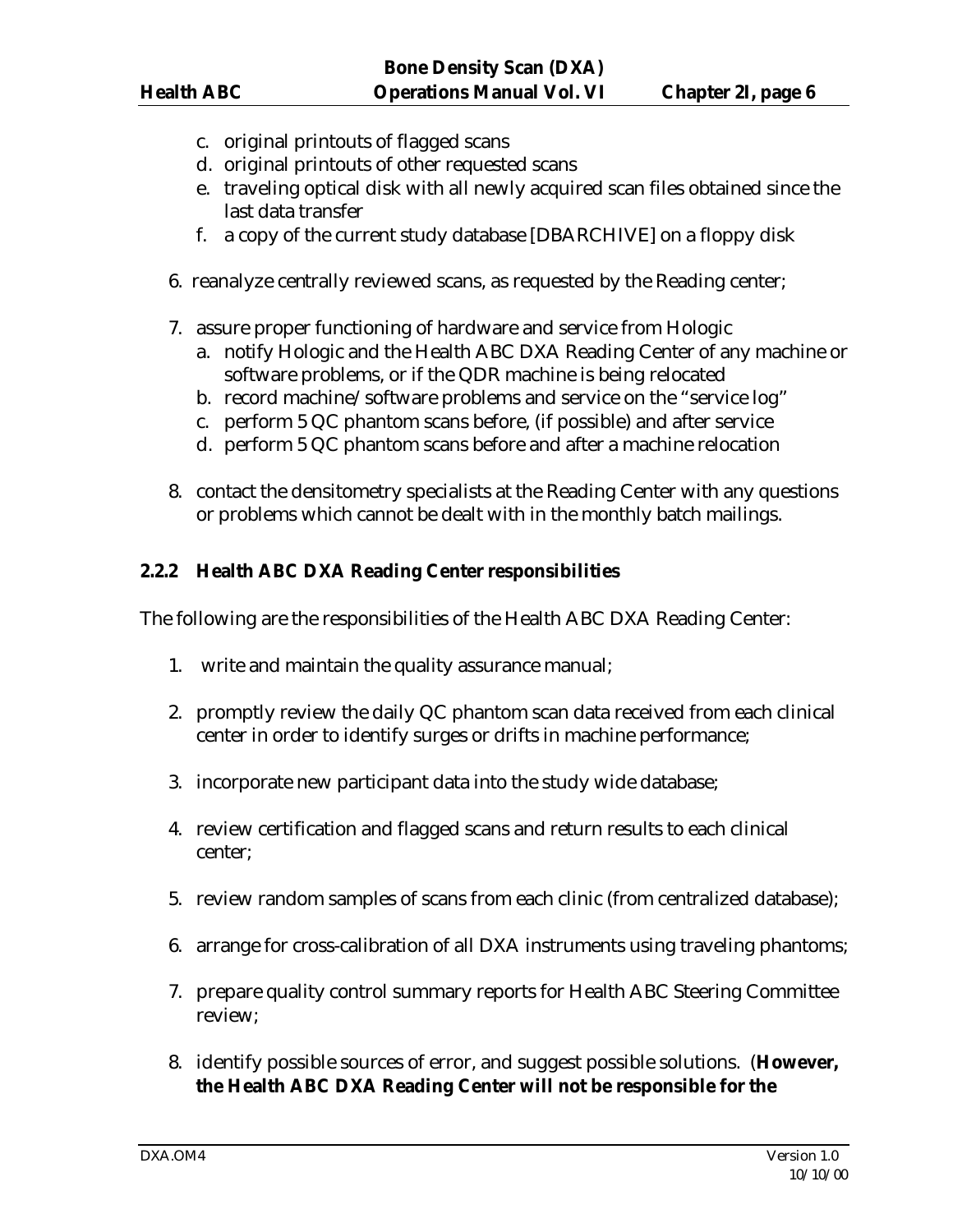- c. original printouts of flagged scans
- d. original printouts of other requested scans
- e. traveling optical disk with all newly acquired scan files obtained since the last data transfer
- f. a copy of the current study database [DBARCHIVE] on a floppy disk
- 6. reanalyze centrally reviewed scans, as requested by the Reading center;
- 7. assure proper functioning of hardware and service from Hologic
	- a. notify Hologic and the Health ABC DXA Reading Center of any machine or software problems, or if the QDR machine is being relocated
	- b. record machine/software problems and service on the "service log"
	- c. perform 5 QC phantom scans before, (if possible) and after service
	- d. perform 5 QC phantom scans before and after a machine relocation
- 8. contact the densitometry specialists at the Reading Center with any questions or problems which cannot be dealt with in the monthly batch mailings.

#### **2.2.2 Health ABC DXA Reading Center responsibilities**

The following are the responsibilities of the Health ABC DXA Reading Center:

- 1. write and maintain the quality assurance manual;
- 2. promptly review the daily QC phantom scan data received from each clinical center in order to identify surges or drifts in machine performance;
- 3. incorporate new participant data into the study wide database;
- 4. review certification and flagged scans and return results to each clinical center;
- 5. review random samples of scans from each clinic (from centralized database);
- 6. arrange for cross-calibration of all DXA instruments using traveling phantoms;
- 7. prepare quality control summary reports for Health ABC Steering Committee review;
- 8. identify possible sources of error, and suggest possible solutions. (**However, the Health ABC DXA Reading Center will not be responsible for the**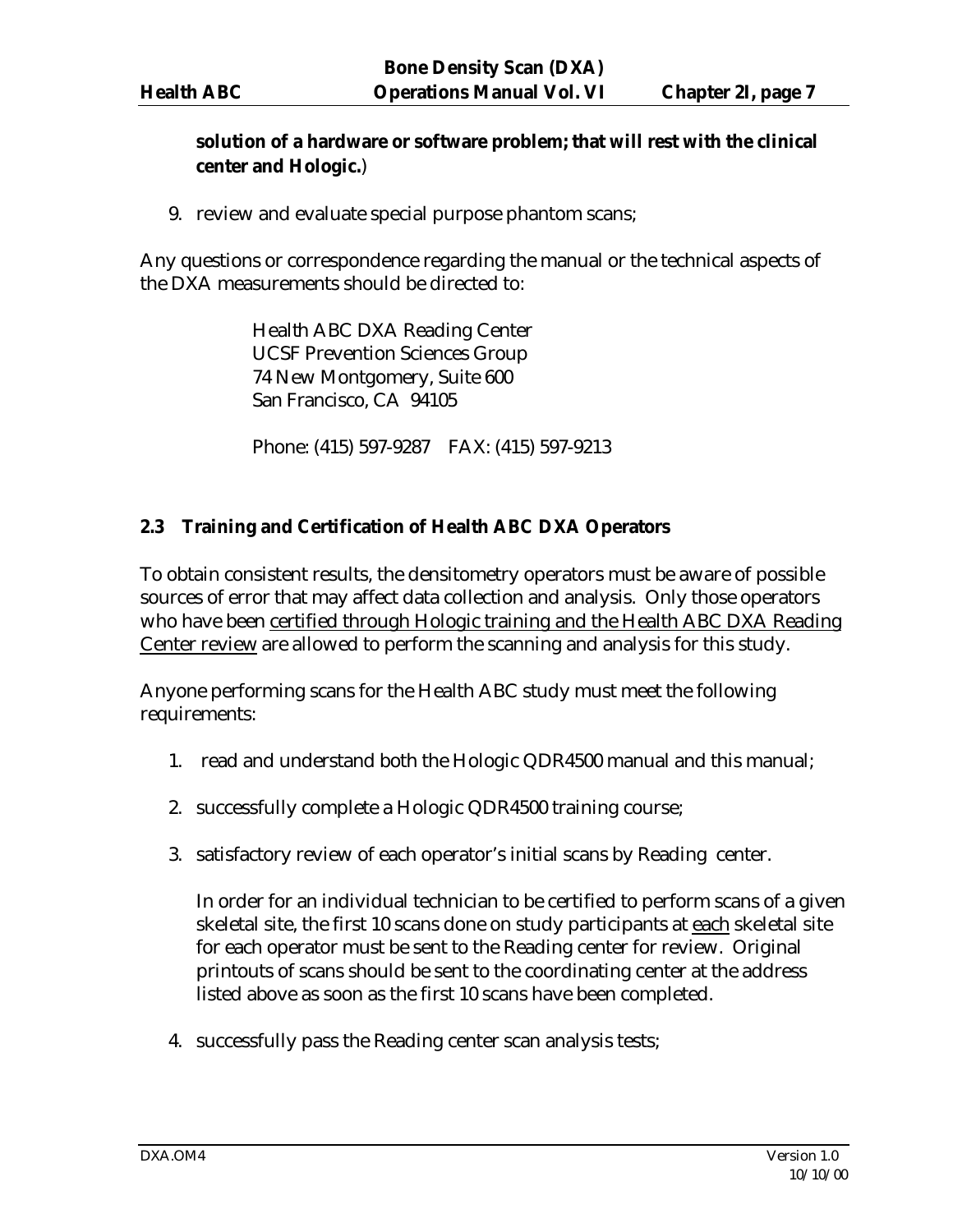# **solution of a hardware or software problem; that will rest with the clinical center and Hologic.**)

9. review and evaluate special purpose phantom scans;

Any questions or correspondence regarding the manual or the technical aspects of the DXA measurements should be directed to:

> Health ABC DXA Reading Center UCSF Prevention Sciences Group 74 New Montgomery, Suite 600 San Francisco, CA 94105

Phone: (415) 597-9287 FAX: (415) 597-9213

#### **2.3 Training and Certification of Health ABC DXA Operators**

To obtain consistent results, the densitometry operators must be aware of possible sources of error that may affect data collection and analysis. Only those operators who have been certified through Hologic training and the Health ABC DXA Reading Center review are allowed to perform the scanning and analysis for this study.

Anyone performing scans for the Health ABC study must meet the following requirements:

- 1. read and understand both the Hologic QDR4500 manual and this manual;
- 2. successfully complete a Hologic QDR4500 training course;
- 3. satisfactory review of each operator's initial scans by Reading center.

In order for an individual technician to be certified to perform scans of a given skeletal site, the first 10 scans done on study participants at each skeletal site for each operator must be sent to the Reading center for review. Original printouts of scans should be sent to the coordinating center at the address listed above as soon as the first 10 scans have been completed.

4. successfully pass the Reading center scan analysis tests;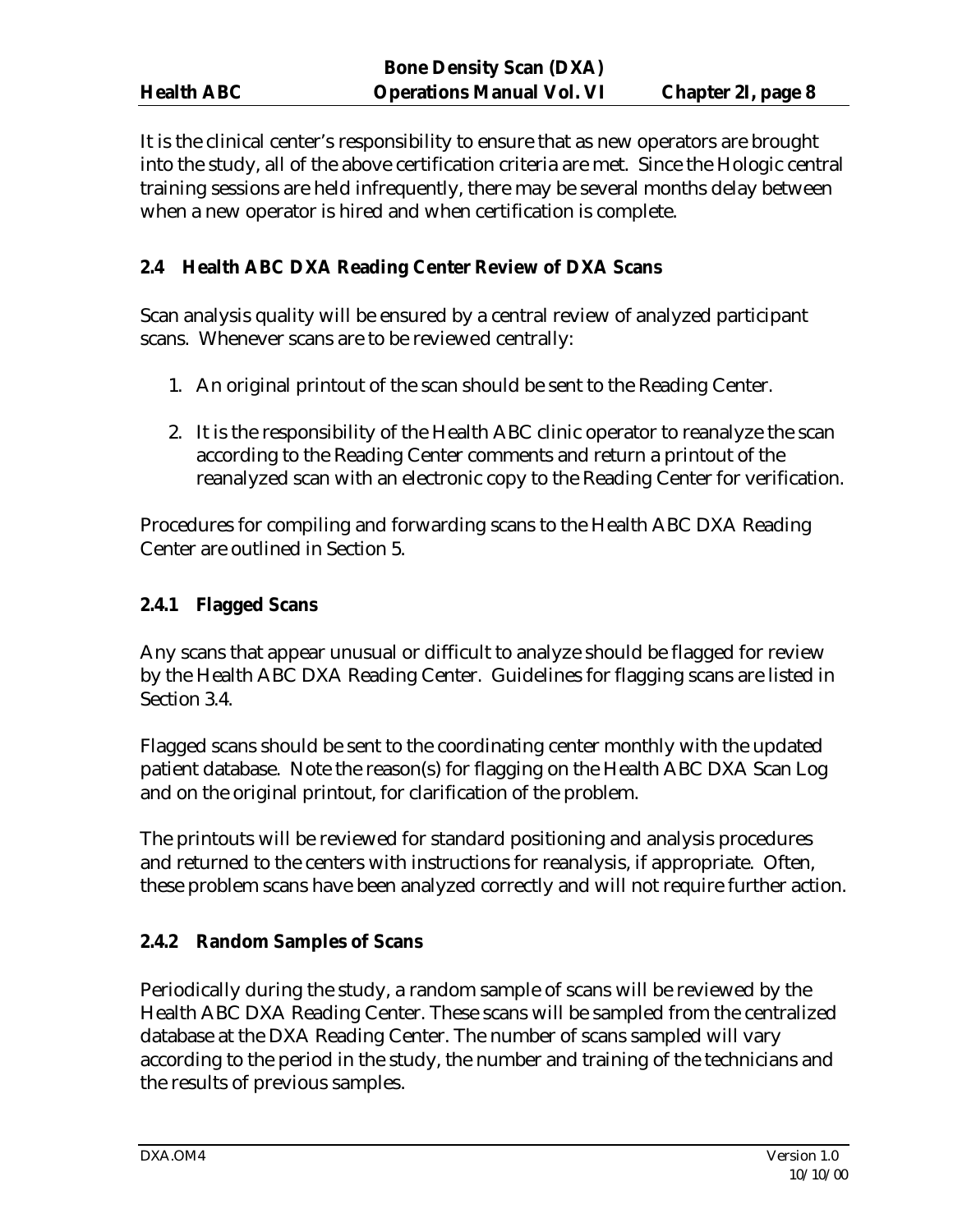It is the clinical center's responsibility to ensure that as new operators are brought into the study, all of the above certification criteria are met. Since the Hologic central training sessions are held infrequently, there may be several months delay between when a new operator is hired and when certification is complete.

# **2.4 Health ABC DXA Reading Center Review of DXA Scans**

Scan analysis quality will be ensured by a central review of analyzed participant scans. Whenever scans are to be reviewed centrally:

- 1. An original printout of the scan should be sent to the Reading Center.
- 2. It is the responsibility of the Health ABC clinic operator to reanalyze the scan according to the Reading Center comments and return a printout of the reanalyzed scan with an electronic copy to the Reading Center for verification.

Procedures for compiling and forwarding scans to the Health ABC DXA Reading Center are outlined in Section 5.

# **2.4.1 Flagged Scans**

Any scans that appear unusual or difficult to analyze should be flagged for review by the Health ABC DXA Reading Center. Guidelines for flagging scans are listed in Section 3.4.

Flagged scans should be sent to the coordinating center monthly with the updated patient database. Note the reason(s) for flagging on the Health ABC DXA Scan Log and on the original printout, for clarification of the problem.

The printouts will be reviewed for standard positioning and analysis procedures and returned to the centers with instructions for reanalysis, if appropriate. Often, these problem scans have been analyzed correctly and will not require further action.

# **2.4.2 Random Samples of Scans**

Periodically during the study, a random sample of scans will be reviewed by the Health ABC DXA Reading Center. These scans will be sampled from the centralized database at the DXA Reading Center. The number of scans sampled will vary according to the period in the study, the number and training of the technicians and the results of previous samples.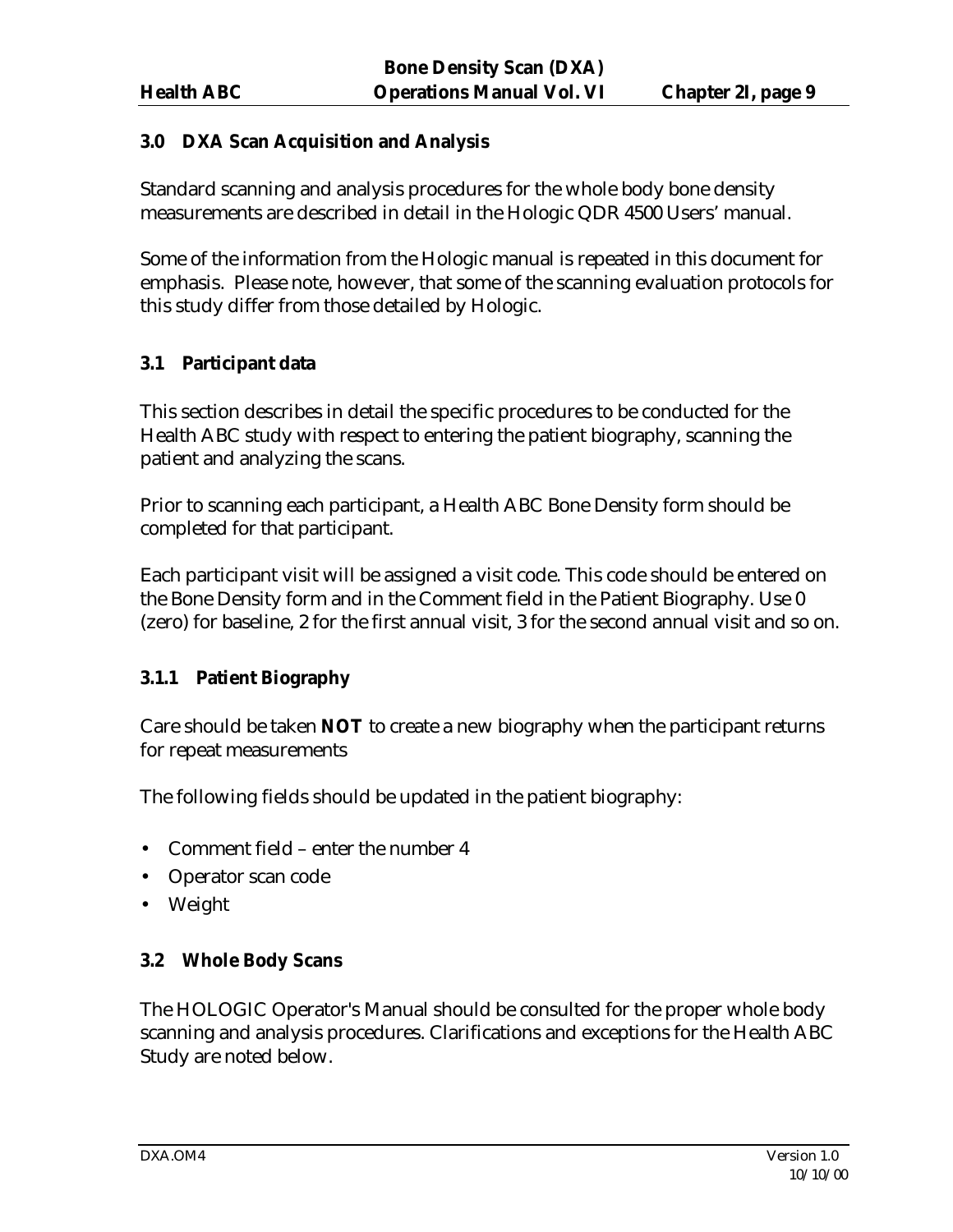#### **3.0 DXA Scan Acquisition and Analysis**

Standard scanning and analysis procedures for the whole body bone density measurements are described in detail in the Hologic QDR 4500 Users' manual.

Some of the information from the Hologic manual is repeated in this document for emphasis. Please note, however, that some of the scanning evaluation protocols for this study differ from those detailed by Hologic.

#### **3.1 Participant data**

This section describes in detail the specific procedures to be conducted for the Health ABC study with respect to entering the patient biography, scanning the patient and analyzing the scans.

Prior to scanning each participant, a Health ABC Bone Density form should be completed for that participant.

Each participant visit will be assigned a visit code. This code should be entered on the Bone Density form and in the Comment field in the Patient Biography. Use 0 (zero) for baseline, 2 for the first annual visit, 3 for the second annual visit and so on.

#### **3.1.1 Patient Biography**

Care should be taken **NOT** to create a new biography when the participant returns for repeat measurements

The following fields should be updated in the patient biography:

- Comment field enter the number 4
- Operator scan code
- Weight

#### **3.2 Whole Body Scans**

The HOLOGIC Operator's Manual should be consulted for the proper whole body scanning and analysis procedures. Clarifications and exceptions for the Health ABC Study are noted below.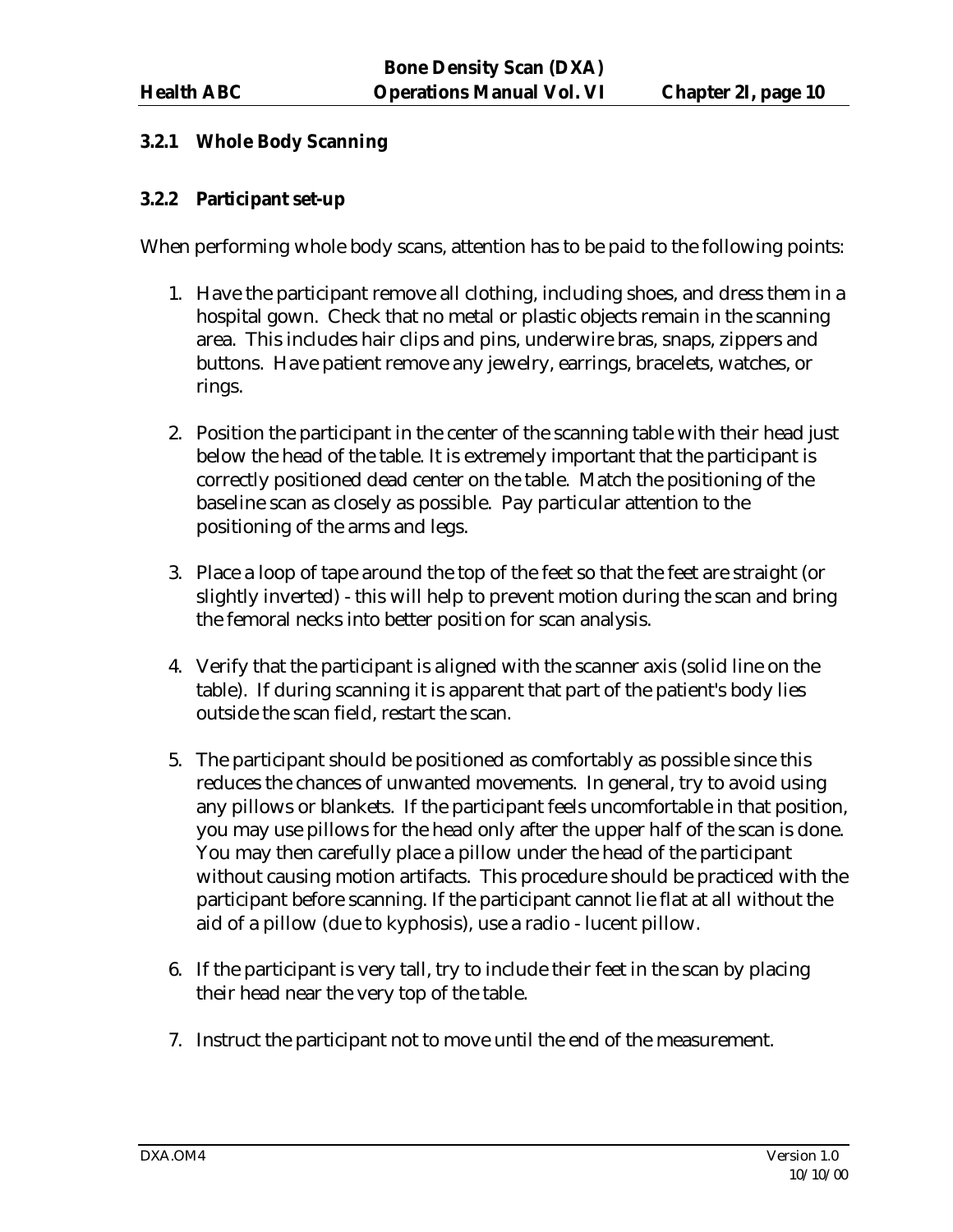#### **3.2.1 Whole Body Scanning**

#### **3.2.2 Participant set-up**

When performing whole body scans, attention has to be paid to the following points:

- 1. Have the participant remove all clothing, including shoes, and dress them in a hospital gown. Check that no metal or plastic objects remain in the scanning area. This includes hair clips and pins, underwire bras, snaps, zippers and buttons. Have patient remove any jewelry, earrings, bracelets, watches, or rings.
- 2. Position the participant in the center of the scanning table with their head just below the head of the table. It is extremely important that the participant is correctly positioned dead center on the table. Match the positioning of the baseline scan as closely as possible. Pay particular attention to the positioning of the arms and legs.
- 3. Place a loop of tape around the top of the feet so that the feet are straight (or slightly inverted) - this will help to prevent motion during the scan and bring the femoral necks into better position for scan analysis.
- 4. Verify that the participant is aligned with the scanner axis (solid line on the table). If during scanning it is apparent that part of the patient's body lies outside the scan field, restart the scan.
- 5. The participant should be positioned as comfortably as possible since this reduces the chances of unwanted movements. In general, try to avoid using any pillows or blankets. If the participant feels uncomfortable in that position, you may use pillows for the head only after the upper half of the scan is done. You may then carefully place a pillow under the head of the participant without causing motion artifacts. This procedure should be practiced with the participant before scanning. If the participant cannot lie flat at all without the aid of a pillow (due to kyphosis), use a radio - lucent pillow.
- 6. If the participant is very tall, try to include their feet in the scan by placing their head near the very top of the table.
- 7. Instruct the participant not to move until the end of the measurement.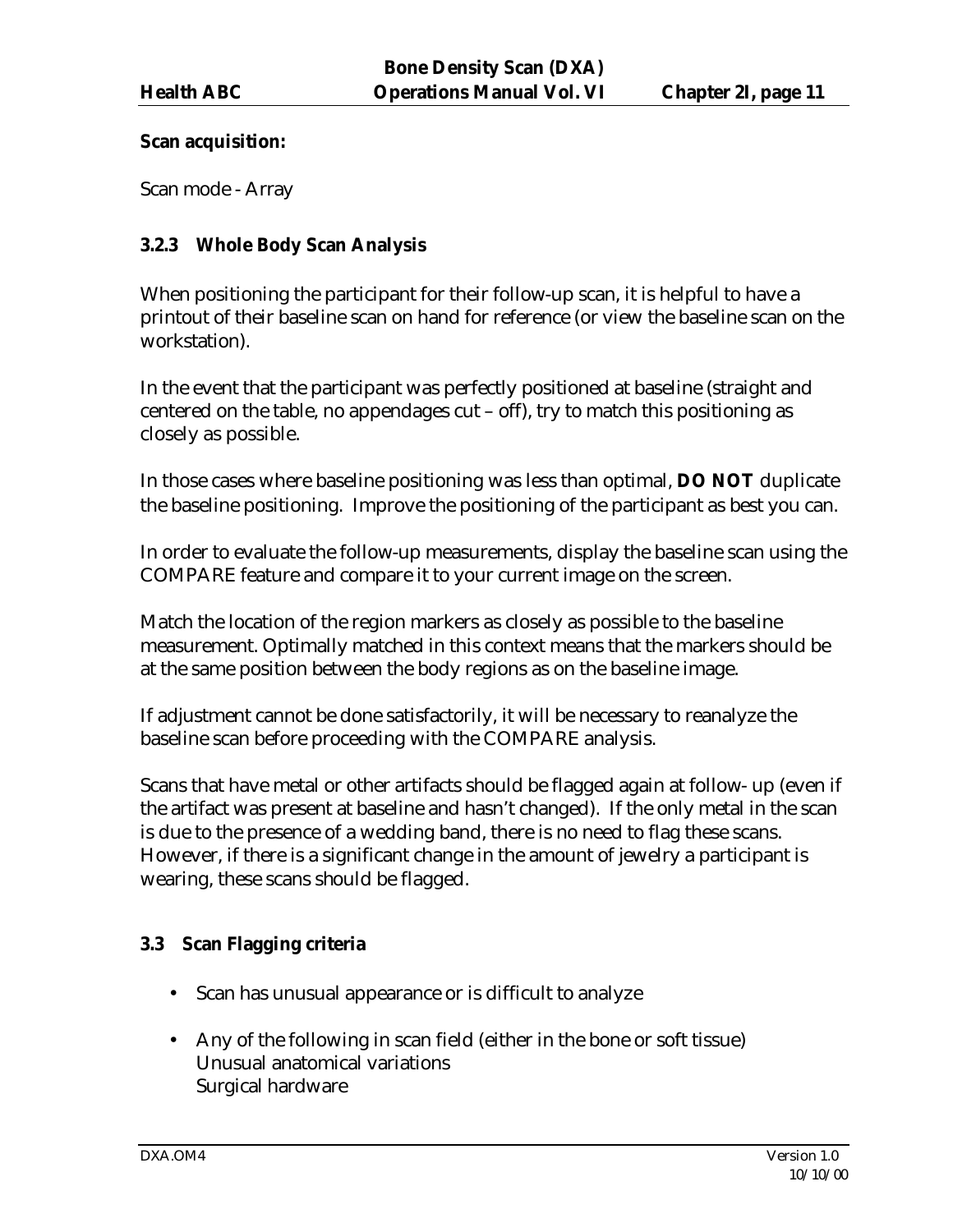#### **Scan acquisition:**

Scan mode - Array

# **3.2.3 Whole Body Scan Analysis**

When positioning the participant for their follow-up scan, it is helpful to have a printout of their baseline scan on hand for reference (or view the baseline scan on the workstation).

In the event that the participant was perfectly positioned at baseline (straight and centered on the table, no appendages cut – off), try to match this positioning as closely as possible.

In those cases where baseline positioning was less than optimal, **DO NOT** duplicate the baseline positioning. Improve the positioning of the participant as best you can.

In order to evaluate the follow-up measurements, display the baseline scan using the COMPARE feature and compare it to your current image on the screen.

Match the location of the region markers as closely as possible to the baseline measurement. Optimally matched in this context means that the markers should be at the same position between the body regions as on the baseline image.

If adjustment cannot be done satisfactorily, it will be necessary to reanalyze the baseline scan before proceeding with the COMPARE analysis.

Scans that have metal or other artifacts should be flagged again at follow- up (even if the artifact was present at baseline and hasn't changed). If the only metal in the scan is due to the presence of a wedding band, there is no need to flag these scans. However, if there is a significant change in the amount of jewelry a participant is wearing, these scans should be flagged.

# **3.3 Scan Flagging criteria**

- Scan has unusual appearance or is difficult to analyze
- Any of the following in scan field (either in the bone or soft tissue) Unusual anatomical variations Surgical hardware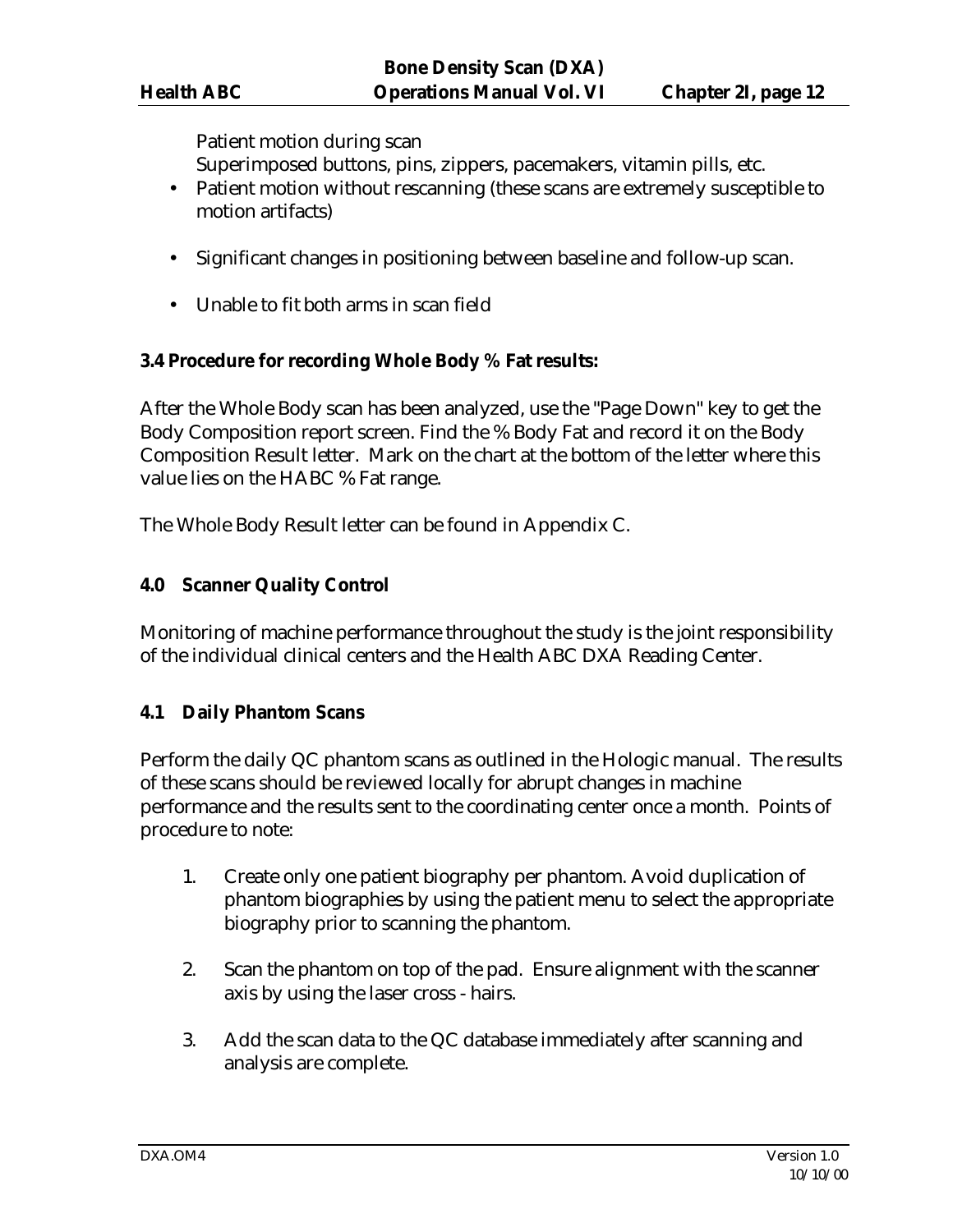Patient motion during scan

Superimposed buttons, pins, zippers, pacemakers, vitamin pills, etc.

- Patient motion without rescanning (these scans are extremely susceptible to motion artifacts)
- Significant changes in positioning between baseline and follow-up scan.
- Unable to fit both arms in scan field

#### **3.4 Procedure for recording Whole Body % Fat results:**

After the Whole Body scan has been analyzed, use the "Page Down" key to get the Body Composition report screen. Find the % Body Fat and record it on the Body Composition Result letter. Mark on the chart at the bottom of the letter where this value lies on the HABC % Fat range.

The Whole Body Result letter can be found in Appendix C.

#### **4.0 Scanner Quality Control**

Monitoring of machine performance throughout the study is the joint responsibility of the individual clinical centers and the Health ABC DXA Reading Center.

# **4.1 Daily Phantom Scans**

Perform the daily QC phantom scans as outlined in the Hologic manual. The results of these scans should be reviewed locally for abrupt changes in machine performance and the results sent to the coordinating center once a month. Points of procedure to note:

- 1. Create only one patient biography per phantom. Avoid duplication of phantom biographies by using the patient menu to select the appropriate biography prior to scanning the phantom.
- 2. Scan the phantom on top of the pad. Ensure alignment with the scanner axis by using the laser cross - hairs.
- 3. Add the scan data to the QC database immediately after scanning and analysis are complete.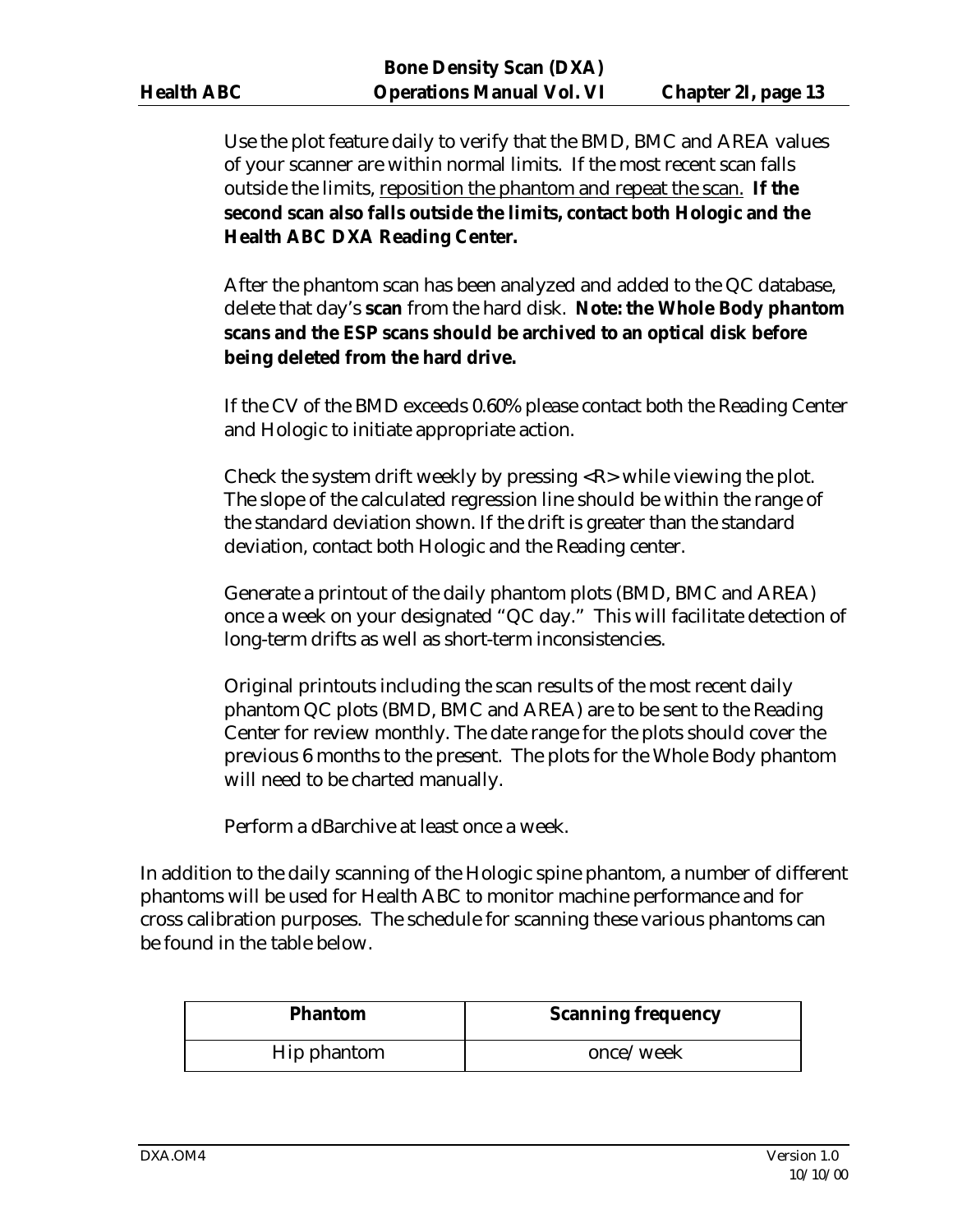Use the plot feature daily to verify that the BMD, BMC and AREA values of your scanner are within normal limits. If the most recent scan falls outside the limits, reposition the phantom and repeat the scan. **If the second scan also falls outside the limits, contact both Hologic and the Health ABC DXA Reading Center.**

After the phantom scan has been analyzed and added to the QC database, delete that day's **scan** from the hard disk. **Note: the Whole Body phantom scans and the ESP scans should be archived to an optical disk before being deleted from the hard drive.**

If the CV of the BMD exceeds 0.60% please contact both the Reading Center and Hologic to initiate appropriate action.

Check the system drift weekly by pressing  $\langle R \rangle$  while viewing the plot. The slope of the calculated regression line should be within the range of the standard deviation shown. If the drift is greater than the standard deviation, contact both Hologic and the Reading center.

Generate a printout of the daily phantom plots (BMD, BMC and AREA) once a week on your designated "QC day." This will facilitate detection of long-term drifts as well as short-term inconsistencies.

Original printouts including the scan results of the most recent daily phantom QC plots (BMD, BMC and AREA) are to be sent to the Reading Center for review monthly. The date range for the plots should cover the previous 6 months to the present. The plots for the Whole Body phantom will need to be charted manually.

Perform a dBarchive at least once a week.

In addition to the daily scanning of the Hologic spine phantom, a number of different phantoms will be used for Health ABC to monitor machine performance and for cross calibration purposes. The schedule for scanning these various phantoms can be found in the table below.

| <b>Phantom</b> | <b>Scanning frequency</b> |
|----------------|---------------------------|
| Hip phantom    | once/week                 |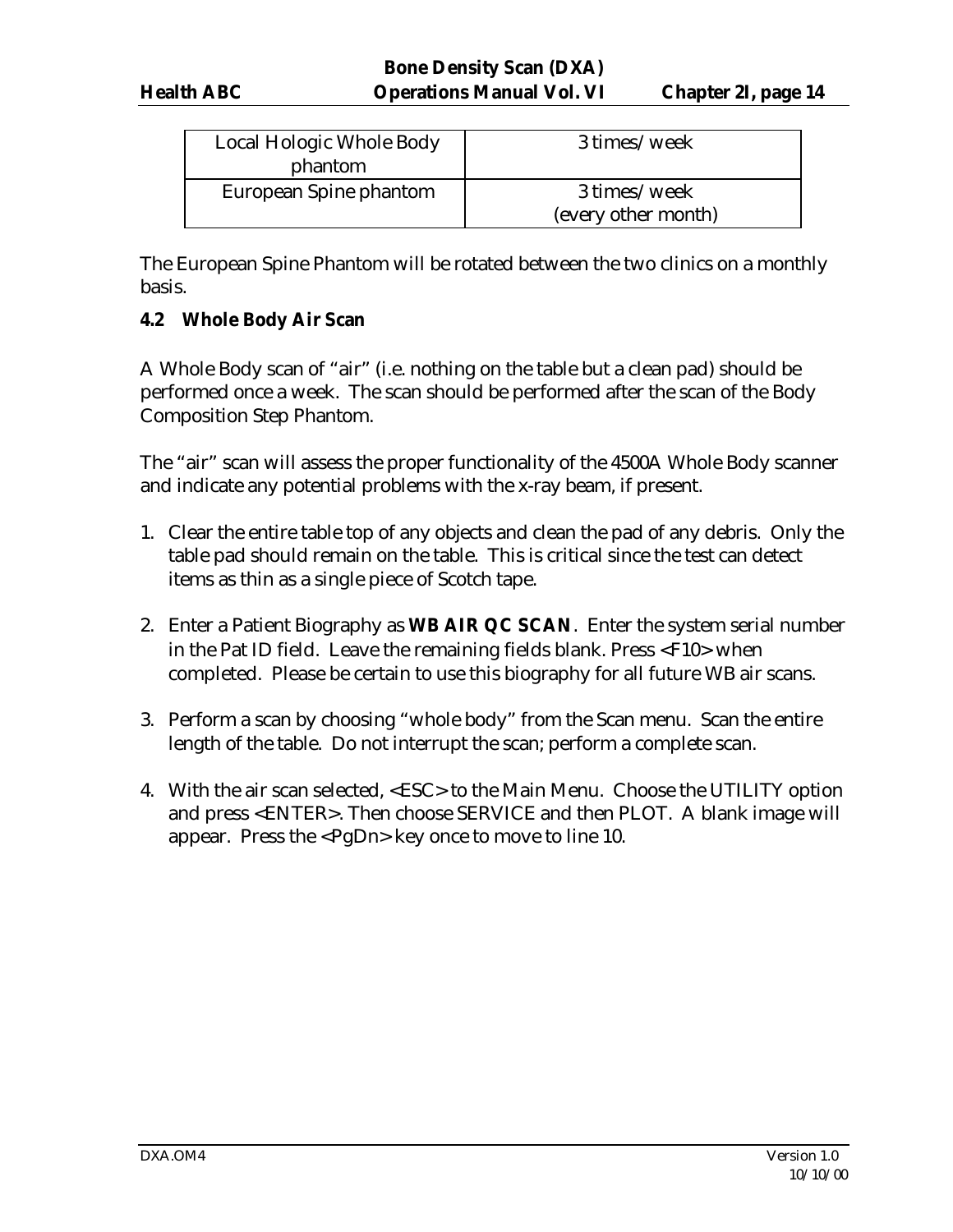| Local Hologic Whole Body | 3 times/week        |
|--------------------------|---------------------|
| phantom                  |                     |
| European Spine phantom   | 3 times/week        |
|                          | (every other month) |

The European Spine Phantom will be rotated between the two clinics on a monthly basis.

#### **4.2 Whole Body Air Scan**

A Whole Body scan of "air" (i.e. nothing on the table but a clean pad) should be performed once a week. The scan should be performed after the scan of the Body Composition Step Phantom.

The "air" scan will assess the proper functionality of the 4500A Whole Body scanner and indicate any potential problems with the x-ray beam, if present.

- 1. Clear the entire table top of any objects and clean the pad of any debris. Only the table pad should remain on the table. This is critical since the test can detect items as thin as a single piece of Scotch tape.
- 2. Enter a Patient Biography as **WB AIR QC SCAN**. Enter the system serial number in the Pat ID field. Leave the remaining fields blank. Press <F10> when completed. Please be certain to use this biography for all future WB air scans.
- 3. Perform a scan by choosing "whole body" from the Scan menu. Scan the entire length of the table. Do not interrupt the scan; perform a complete scan.
- 4. With the air scan selected, <ESC> to the Main Menu. Choose the UTILITY option and press <ENTER>. Then choose SERVICE and then PLOT. A blank image will appear. Press the <PgDn> key once to move to line 10.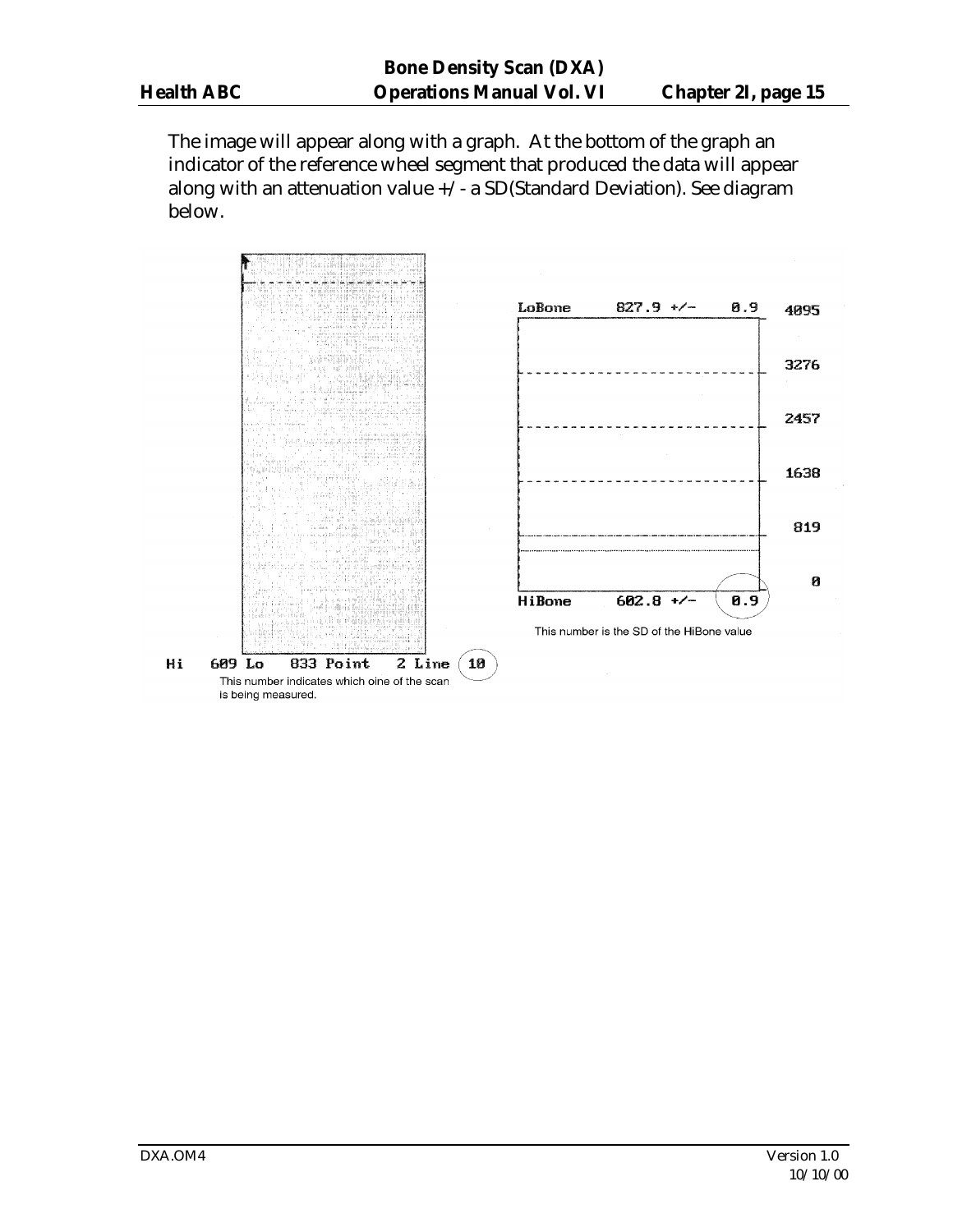The image will appear along with a graph. At the bottom of the graph an indicator of the reference wheel segment that produced the data will appear along with an attenuation value  $+\sqrt{-a}$  SD(Standard Deviation). See diagram below.

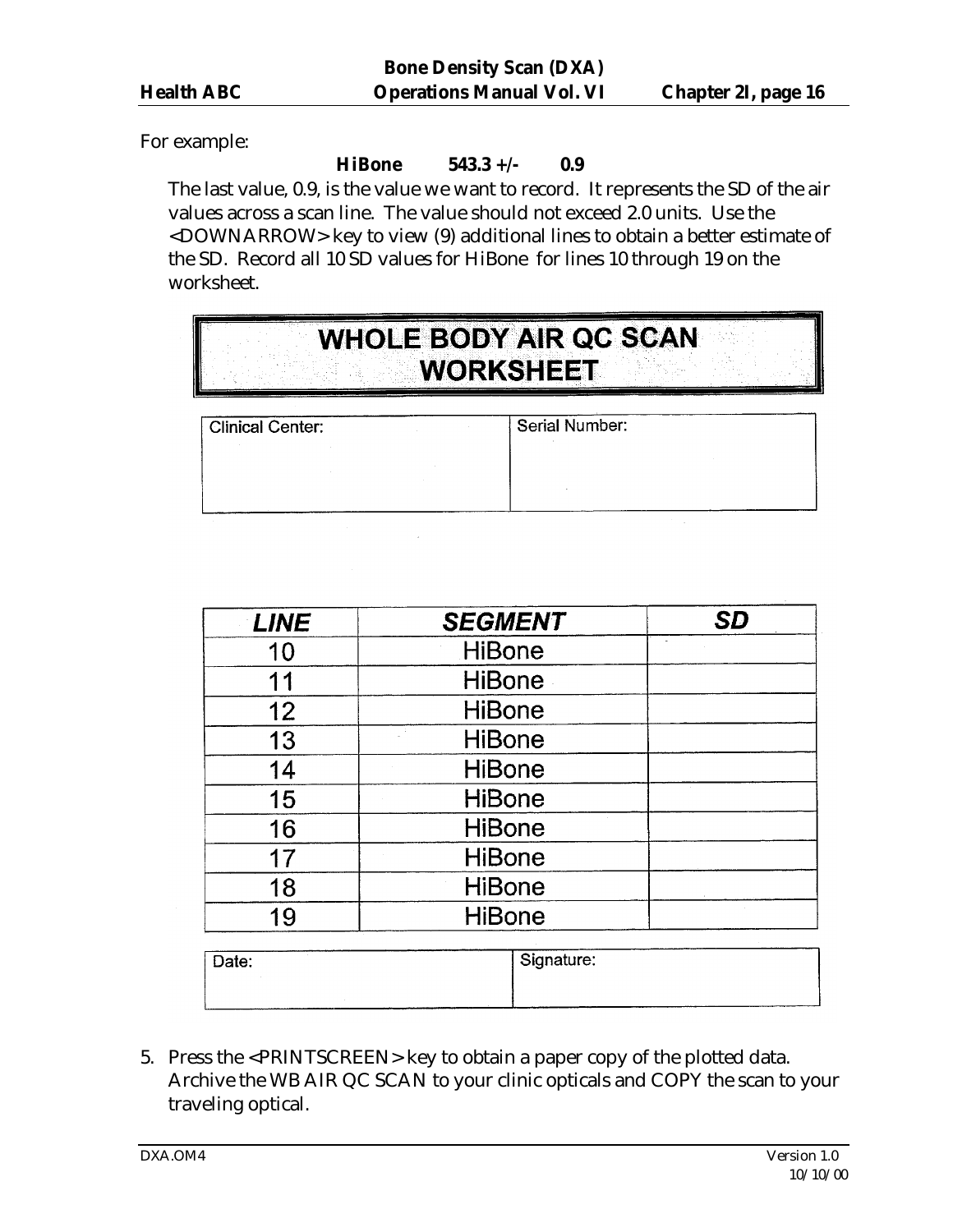For example:

#### **HiBone 543.3 +/- 0.9**

The last value, 0.9, is the value we want to record. It represents the SD of the air values across a scan line. The value should not exceed 2.0 units. Use the <DOWNARROW> key to view (9) additional lines to obtain a better estimate of the SD. Record all 10 SD values for HiBone for lines 10 through 19 on the worksheet.

| <b>WHOLE BODY AIR QC SCAN</b> |  |
|-------------------------------|--|
|                               |  |
|                               |  |
| WORKSHEET                     |  |
|                               |  |
|                               |  |
|                               |  |

| <b>Clinical Center:</b> |  |  |  |  |  |  |  |
|-------------------------|--|--|--|--|--|--|--|
|                         |  |  |  |  |  |  |  |
|                         |  |  |  |  |  |  |  |
|                         |  |  |  |  |  |  |  |

Serial Number:

| <b>LINE</b> | <b>SEGMENT</b> | <b>SD</b> |
|-------------|----------------|-----------|
| 10          | <b>HiBone</b>  |           |
| 11          | <b>HiBone</b>  |           |
| 12          | <b>HiBone</b>  |           |
| 13          | <b>HiBone</b>  |           |
| 14          | <b>HiBone</b>  |           |
| 15          | <b>HiBone</b>  |           |
| 16          | <b>HiBone</b>  |           |
| 17          | <b>HiBone</b>  |           |
| 18          | <b>HiBone</b>  |           |
| 19          | <b>HiBone</b>  |           |

| Date: | Signature: |
|-------|------------|
|       |            |

5. Press the <PRINTSCREEN> key to obtain a paper copy of the plotted data. Archive the WB AIR QC SCAN to your clinic opticals and COPY the scan to your traveling optical.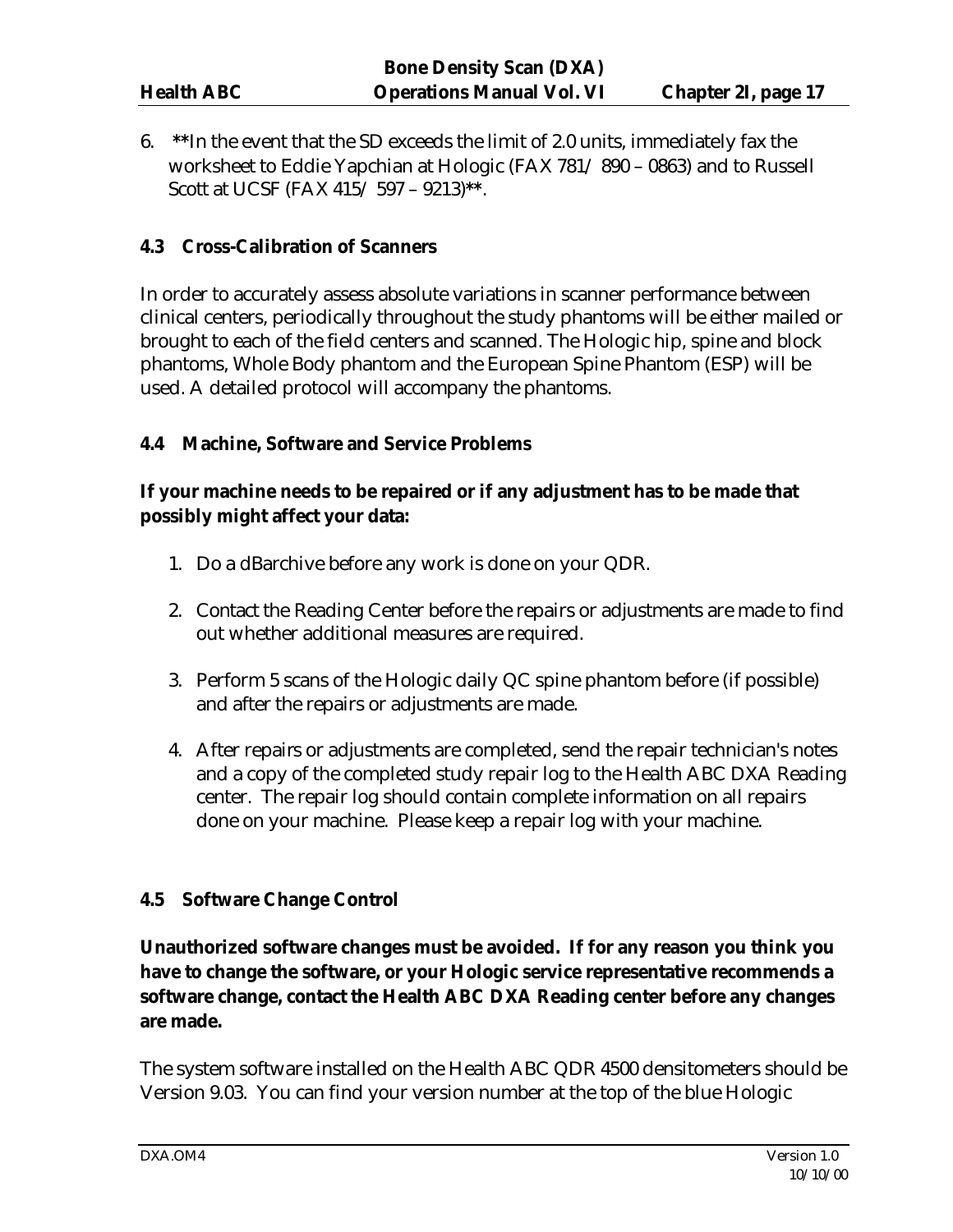6. **\*\***In the event that the SD exceeds the limit of 2.0 units, immediately fax the worksheet to Eddie Yapchian at Hologic (FAX 781/ 890 – 0863) and to Russell Scott at UCSF (FAX 415/ 597 – 9213)**\*\***.

#### **4.3 Cross-Calibration of Scanners**

In order to accurately assess absolute variations in scanner performance between clinical centers, periodically throughout the study phantoms will be either mailed or brought to each of the field centers and scanned. The Hologic hip, spine and block phantoms, Whole Body phantom and the European Spine Phantom (ESP) will be used. A detailed protocol will accompany the phantoms.

#### **4.4 Machine, Software and Service Problems**

# **If your machine needs to be repaired or if any adjustment has to be made that possibly might affect your data:**

- 1. Do a dBarchive before any work is done on your QDR.
- 2. Contact the Reading Center before the repairs or adjustments are made to find out whether additional measures are required.
- 3. Perform 5 scans of the Hologic daily QC spine phantom before (if possible) and after the repairs or adjustments are made.
- 4. After repairs or adjustments are completed, send the repair technician's notes and a copy of the completed study repair log to the Health ABC DXA Reading center. The repair log should contain complete information on all repairs done on your machine. Please keep a repair log with your machine.

#### **4.5 Software Change Control**

**Unauthorized software changes must be avoided. If for any reason you think you have to change the software, or your Hologic service representative recommends a software change, contact the Health ABC DXA Reading center before any changes are made.** 

The system software installed on the Health ABC QDR 4500 densitometers should be Version 9.03. You can find your version number at the top of the blue Hologic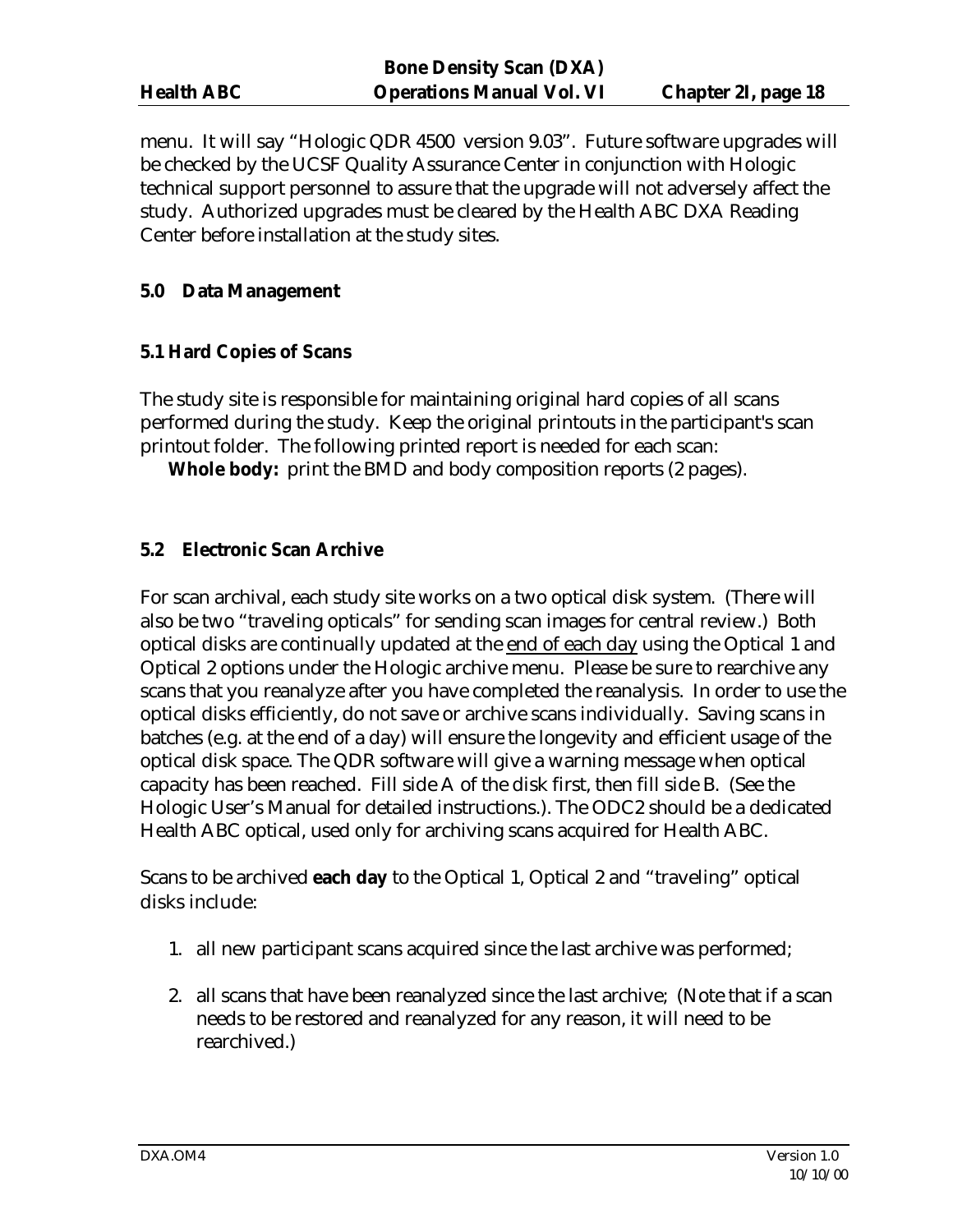menu. It will say "Hologic QDR 4500 version 9.03". Future software upgrades will be checked by the UCSF Quality Assurance Center in conjunction with Hologic technical support personnel to assure that the upgrade will not adversely affect the study. Authorized upgrades must be cleared by the Health ABC DXA Reading Center before installation at the study sites.

#### **5.0 Data Management**

#### **5.1 Hard Copies of Scans**

The study site is responsible for maintaining original hard copies of all scans performed during the study. Keep the original printouts in the participant's scan printout folder. The following printed report is needed for each scan:

**Whole body:** print the BMD and body composition reports (2 pages).

#### **5.2 Electronic Scan Archive**

For scan archival, each study site works on a two optical disk system. (There will also be two "traveling opticals" for sending scan images for central review.) Both optical disks are continually updated at the end of each day using the Optical 1 and Optical 2 options under the Hologic archive menu. Please be sure to rearchive any scans that you reanalyze after you have completed the reanalysis. In order to use the optical disks efficiently, do not save or archive scans individually. Saving scans in batches (e.g. at the end of a day) will ensure the longevity and efficient usage of the optical disk space. The QDR software will give a warning message when optical capacity has been reached. Fill side A of the disk first, then fill side B. (See the Hologic User's Manual for detailed instructions.). The ODC2 should be a dedicated Health ABC optical, used only for archiving scans acquired for Health ABC.

Scans to be archived **each day** to the Optical 1, Optical 2 and "traveling" optical disks include:

- 1. all new participant scans acquired since the last archive was performed;
- 2. all scans that have been reanalyzed since the last archive; (Note that if a scan needs to be restored and reanalyzed for any reason, it will need to be rearchived.)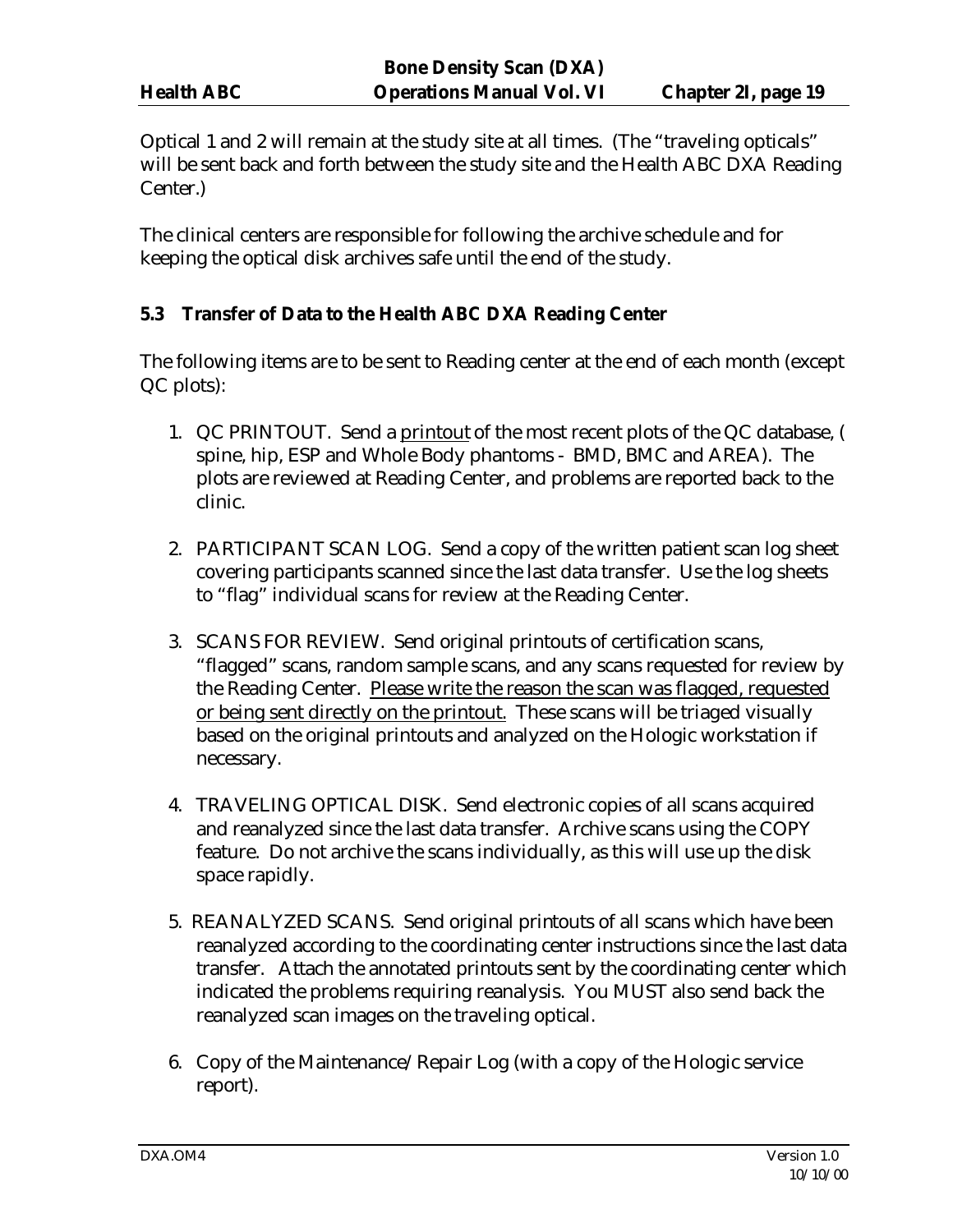Optical 1 and 2 will remain at the study site at all times. (The "traveling opticals" will be sent back and forth between the study site and the Health ABC DXA Reading Center.)

The clinical centers are responsible for following the archive schedule and for keeping the optical disk archives safe until the end of the study.

#### **5.3 Transfer of Data to the Health ABC DXA Reading Center**

The following items are to be sent to Reading center at the end of each month (except QC plots):

- 1. QC PRINTOUT. Send a printout of the most recent plots of the QC database, ( spine, hip, ESP and Whole Body phantoms - BMD, BMC and AREA). The plots are reviewed at Reading Center, and problems are reported back to the clinic.
- 2. PARTICIPANT SCAN LOG. Send a copy of the written patient scan log sheet covering participants scanned since the last data transfer. Use the log sheets to "flag" individual scans for review at the Reading Center.
- 3. SCANS FOR REVIEW. Send original printouts of certification scans, "flagged" scans, random sample scans, and any scans requested for review by the Reading Center. Please write the reason the scan was flagged, requested or being sent directly on the printout. These scans will be triaged visually based on the original printouts and analyzed on the Hologic workstation if necessary.
- 4. TRAVELING OPTICAL DISK. Send electronic copies of all scans acquired and reanalyzed since the last data transfer. Archive scans using the COPY feature. Do not archive the scans individually, as this will use up the disk space rapidly.
- 5. REANALYZED SCANS. Send original printouts of all scans which have been reanalyzed according to the coordinating center instructions since the last data transfer. Attach the annotated printouts sent by the coordinating center which indicated the problems requiring reanalysis. You MUST also send back the reanalyzed scan images on the traveling optical.
- 6. Copy of the Maintenance/Repair Log (with a copy of the Hologic service report).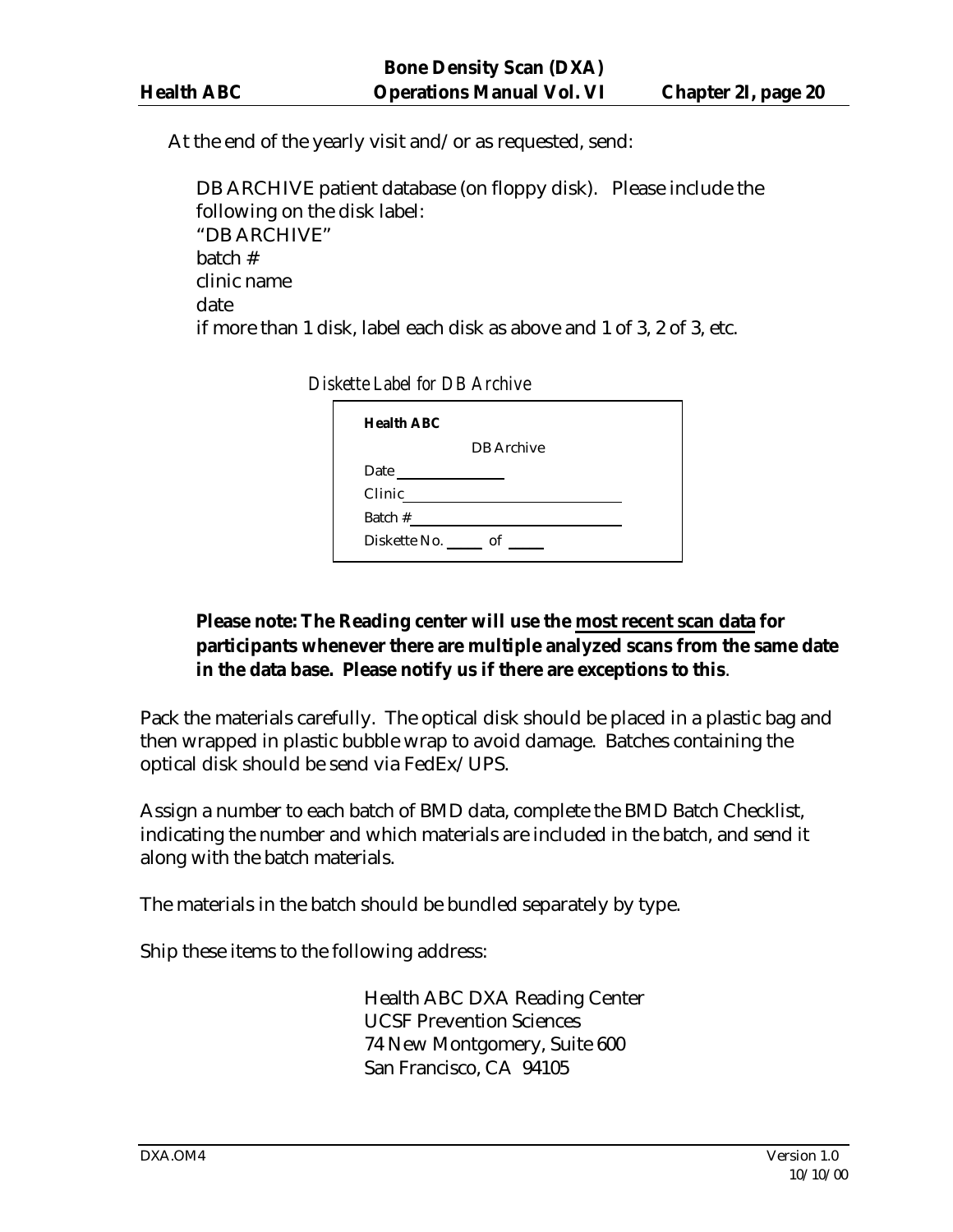At the end of the yearly visit and/or as requested, send:

DB ARCHIVE patient database (on floppy disk). Please include the following on the disk label: "DB ARCHIVE" batch # clinic name date if more than 1 disk, label each disk as above and 1 of 3, 2 of 3, etc.

*Diskette Label for DB Archive*

| <b>Health ABC</b>          |                   |  |
|----------------------------|-------------------|--|
|                            | <b>DB</b> Archive |  |
| Date                       |                   |  |
| Clinic                     |                   |  |
| Batch #                    |                   |  |
| Diskette No. ______ of ___ |                   |  |

# **Please note: The Reading center will use the most recent scan data for participants whenever there are multiple analyzed scans from the same date in the data base. Please notify us if there are exceptions to this**.

Pack the materials carefully. The optical disk should be placed in a plastic bag and then wrapped in plastic bubble wrap to avoid damage. Batches containing the optical disk should be send via FedEx/UPS.

Assign a number to each batch of BMD data, complete the BMD Batch Checklist, indicating the number and which materials are included in the batch, and send it along with the batch materials.

The materials in the batch should be bundled separately by type.

Ship these items to the following address:

Health ABC DXA Reading Center UCSF Prevention Sciences 74 New Montgomery, Suite 600 San Francisco, CA 94105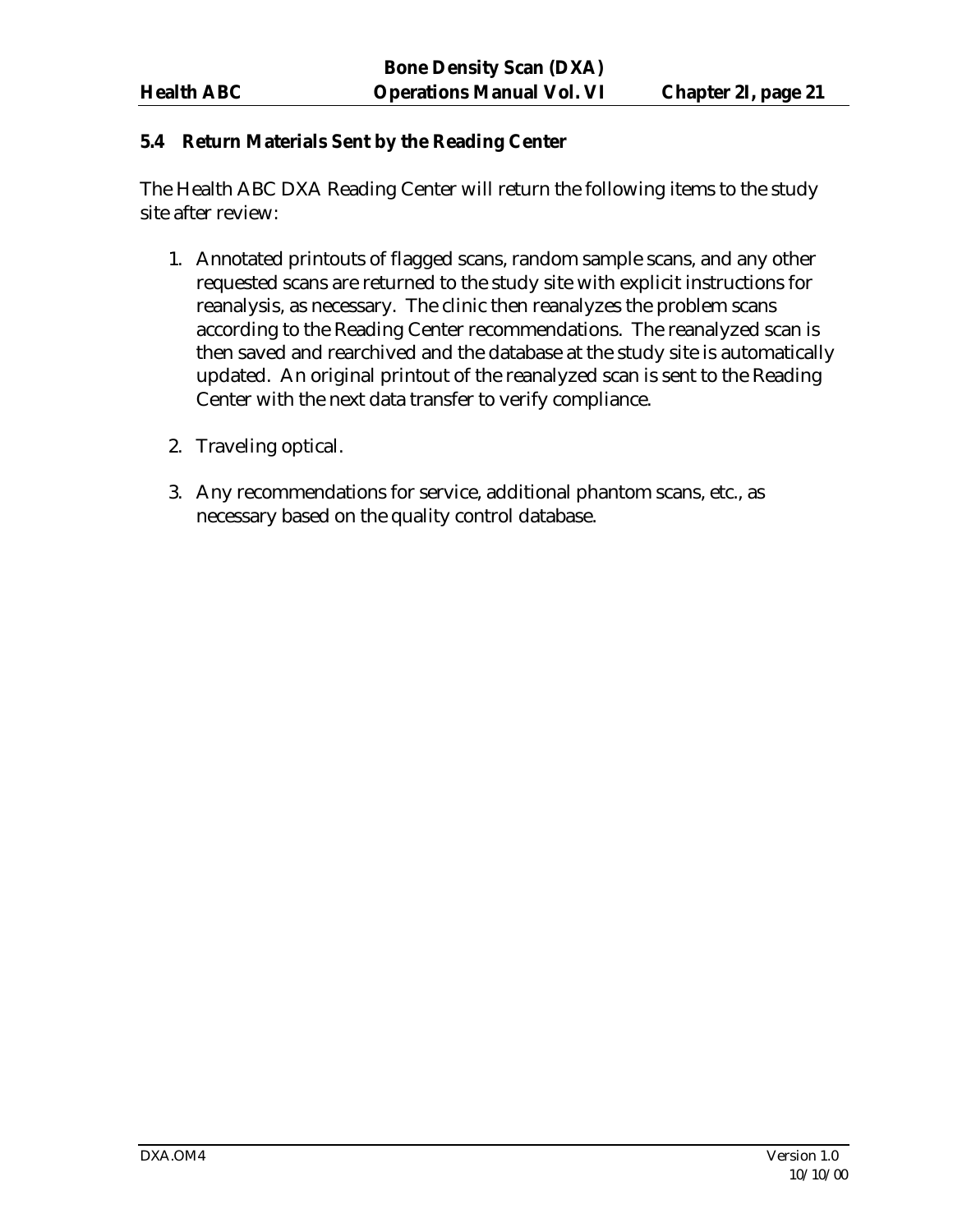#### **5.4 Return Materials Sent by the Reading Center**

The Health ABC DXA Reading Center will return the following items to the study site after review:

- 1. Annotated printouts of flagged scans, random sample scans, and any other requested scans are returned to the study site with explicit instructions for reanalysis, as necessary. The clinic then reanalyzes the problem scans according to the Reading Center recommendations. The reanalyzed scan is then saved and rearchived and the database at the study site is automatically updated. An original printout of the reanalyzed scan is sent to the Reading Center with the next data transfer to verify compliance.
- 2. Traveling optical.
- 3. Any recommendations for service, additional phantom scans, etc., as necessary based on the quality control database.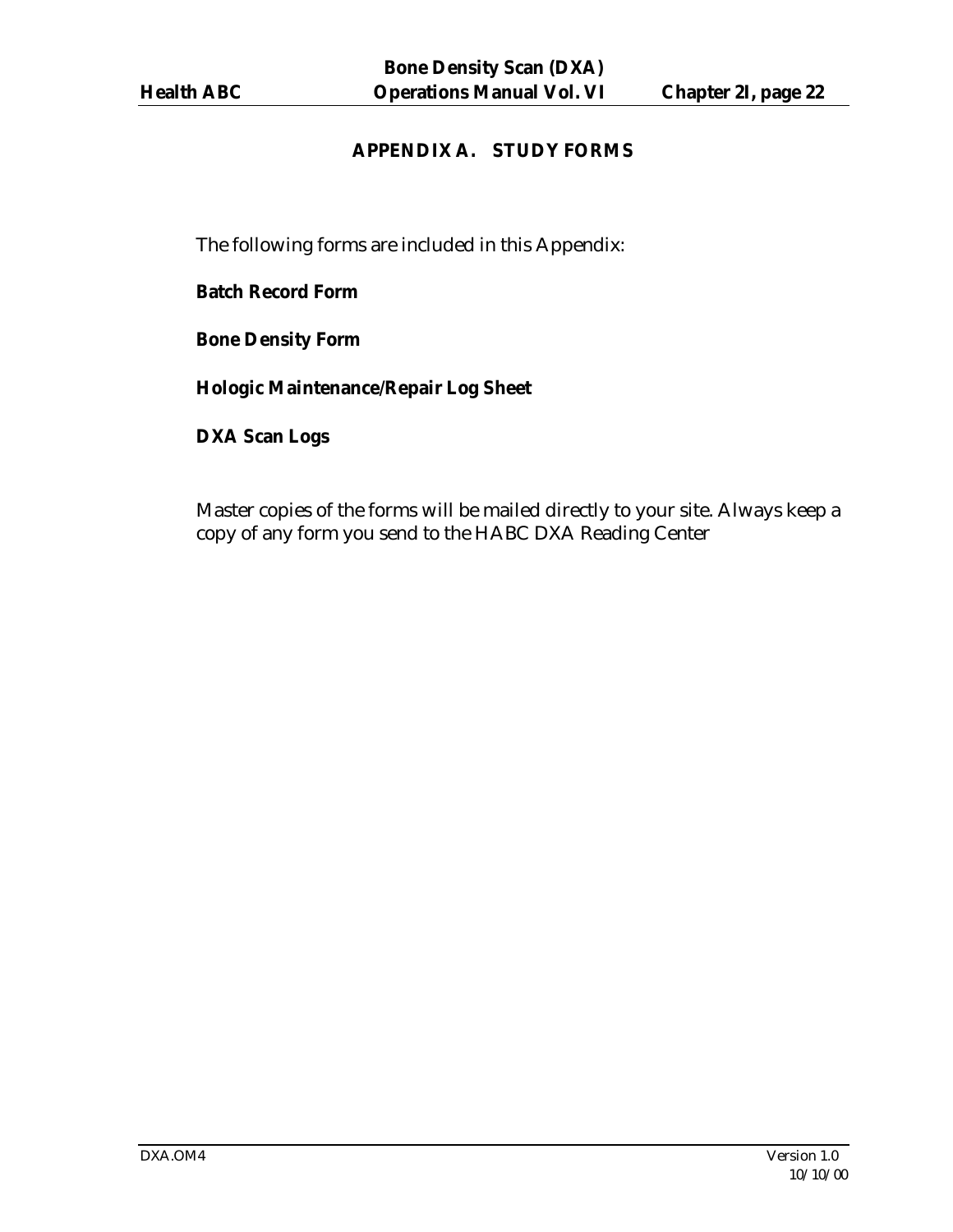# **APPENDIX A. STUDY FORMS**

The following forms are included in this Appendix:

**Batch Record Form**

**Bone Density Form**

**Hologic Maintenance/Repair Log Sheet**

**DXA Scan Logs**

Master copies of the forms will be mailed directly to your site. Always keep a copy of any form you send to the HABC DXA Reading Center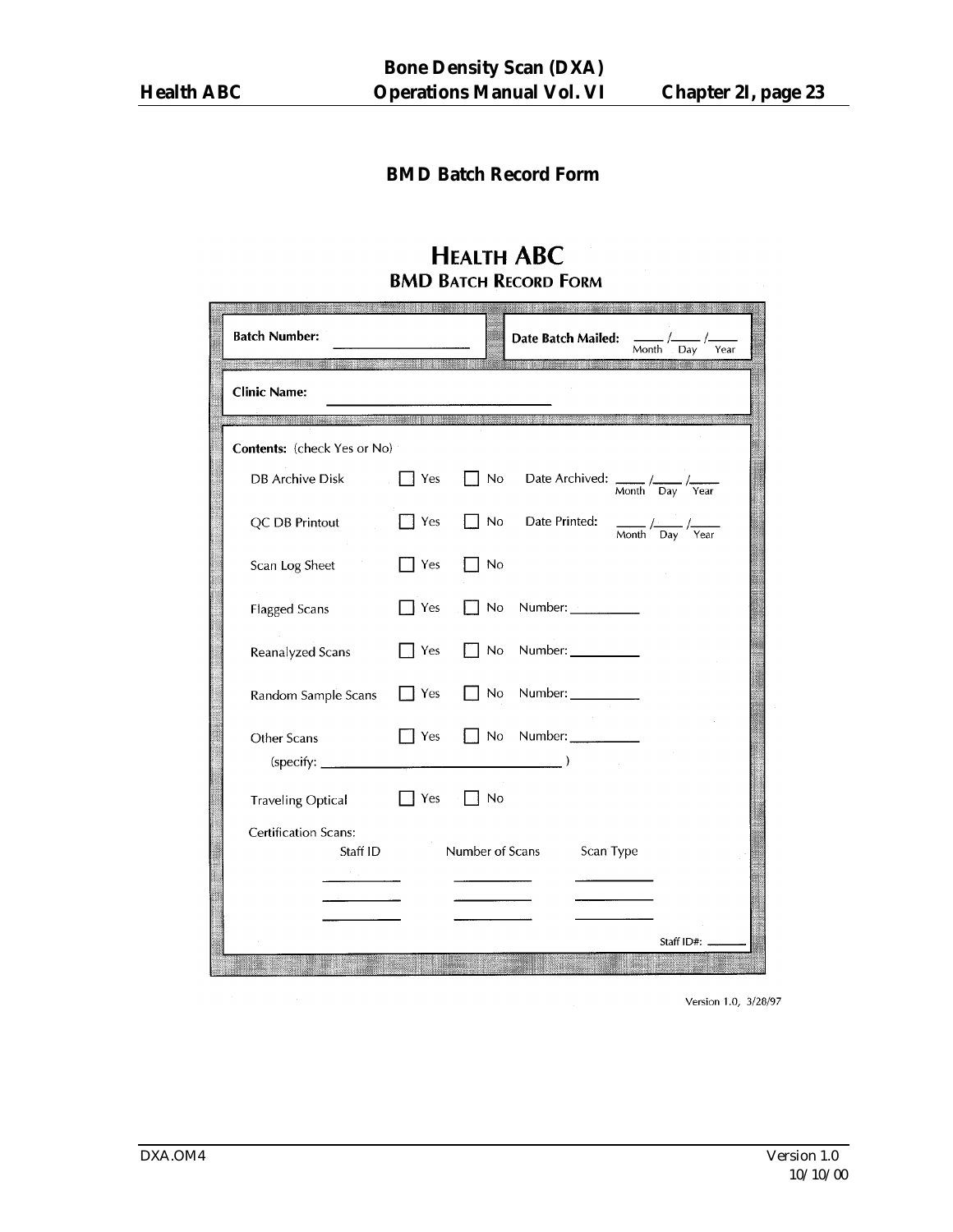# **BMD Batch Record Form**

# **HEALTH ABC BMD BATCH RECORD FORM**

| <b>Batch Number:</b>                                                                                                                          |             | <b>BELLANDI JULIU</b> N     | Date Batch Mailed:<br>Month<br>Day<br>Year                                                   |
|-----------------------------------------------------------------------------------------------------------------------------------------------|-------------|-----------------------------|----------------------------------------------------------------------------------------------|
| <b>All Control of Lands Line Control</b><br><b>Clinic Name:</b>                                                                               |             | <u> Ing Branch India ay</u> | <b>STATISTICS IN A REPORT OF A STATISTICS</b>                                                |
| - presidents and the subject of the contract of the subject of the contract of the contract of the contract of<br>Contents: (check Yes or No) |             |                             |                                                                                              |
| <b>DB Archive Disk</b>                                                                                                                        | Yes         | <b>No</b>                   | Date Archived: $\frac{1}{\text{Month}} / \frac{1}{\text{Day}} / \frac{1}{\text{Year}}$       |
| QC DB Printout                                                                                                                                | T Yes       | No                          | Date Printed:<br>$\frac{1}{\text{Month}}$ / $\frac{1}{\text{Day}}$ / $\frac{1}{\text{Year}}$ |
| Scan Log Sheet                                                                                                                                | Yes         | No                          |                                                                                              |
| <b>Flagged Scans</b>                                                                                                                          | 7 Yes       | No                          | Number:                                                                                      |
| Reanalyzed Scans                                                                                                                              | Yes         | No                          | Number: $\_\_$                                                                               |
| Random Sample Scans                                                                                                                           | Yes         | No                          | Number:                                                                                      |
| Other Scans<br>(specify: _                                                                                                                    | Yes         | No                          | Number:                                                                                      |
| <b>Traveling Optical</b>                                                                                                                      | $\vert$ Yes | ∣ No                        |                                                                                              |
| <b>Certification Scans:</b><br>Staff ID<br>ta a shekara                                                                                       |             | Number of Scans             | Scan Type                                                                                    |
|                                                                                                                                               |             |                             | Staff ID#:                                                                                   |

Version 1.0, 3/28/97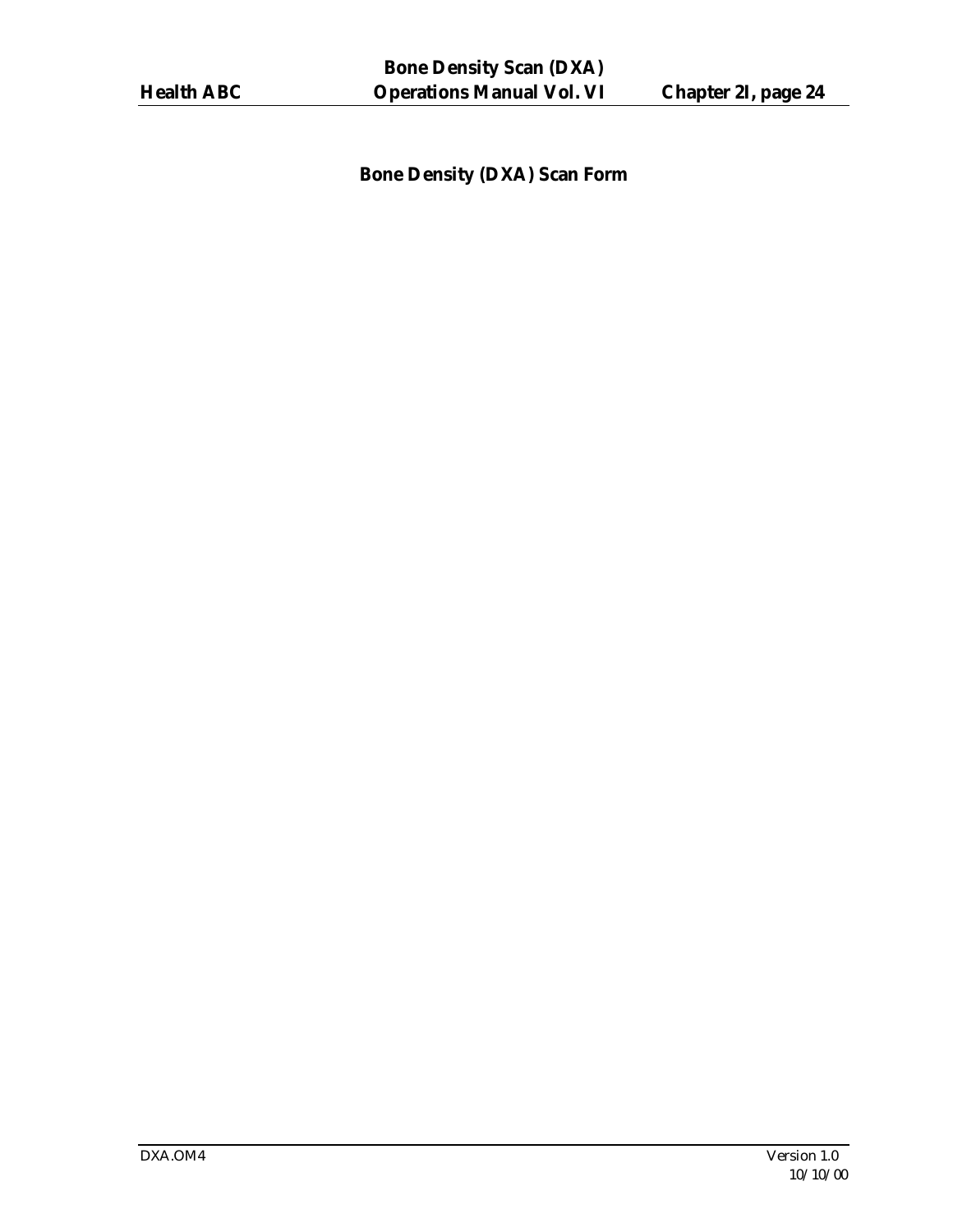**Bone Density (DXA) Scan Form**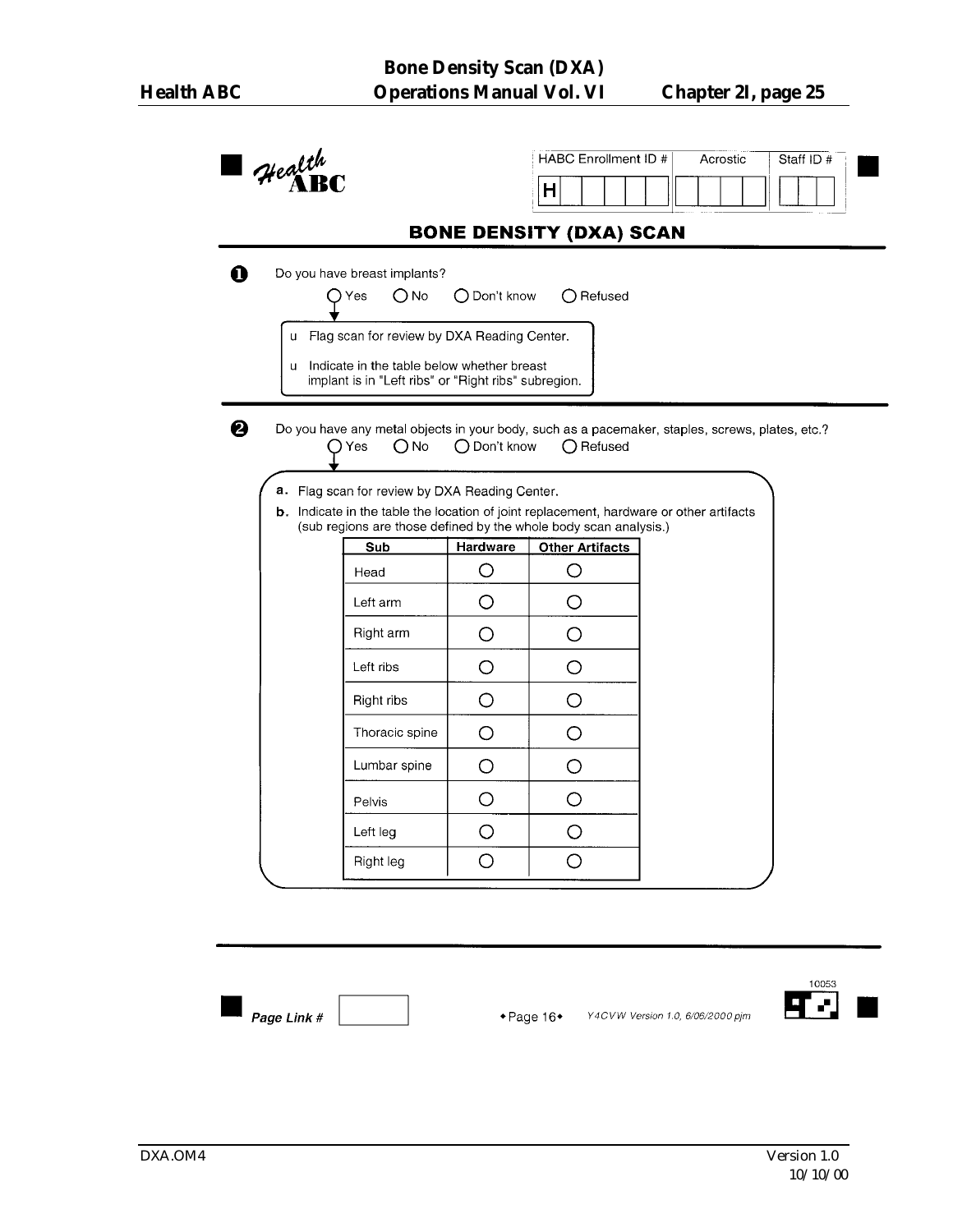| $4$ realth   |                                                                                                                                                             |              | HABC Enrollment ID #           |  | Acrostic | Staff ID # |
|--------------|-------------------------------------------------------------------------------------------------------------------------------------------------------------|--------------|--------------------------------|--|----------|------------|
|              |                                                                                                                                                             |              | н                              |  |          |            |
|              |                                                                                                                                                             |              | <b>BONE DENSITY (DXA) SCAN</b> |  |          |            |
|              | Do you have breast implants?                                                                                                                                |              |                                |  |          |            |
|              | $O$ No<br>Yes                                                                                                                                               | ◯ Don't know | $\bigcirc$ Refused             |  |          |            |
|              | u Flag scan for review by DXA Reading Center.                                                                                                               |              |                                |  |          |            |
| $\mathbf{u}$ | Indicate in the table below whether breast                                                                                                                  |              |                                |  |          |            |
|              | implant is in "Left ribs" or "Right ribs" subregion.                                                                                                        |              |                                |  |          |            |
|              | Do you have any metal objects in your body, such as a pacemaker, staples, screws, plates, etc.?                                                             |              |                                |  |          |            |
|              | $\bigcirc$ No<br>( ) Yes                                                                                                                                    | ◯ Don't know | $\bigcap$ Refused              |  |          |            |
|              |                                                                                                                                                             |              |                                |  |          |            |
|              |                                                                                                                                                             |              |                                |  |          |            |
|              | a. Flag scan for review by DXA Reading Center.                                                                                                              |              |                                |  |          |            |
|              |                                                                                                                                                             |              |                                |  |          |            |
|              | b. Indicate in the table the location of joint replacement, hardware or other artifacts<br>(sub regions are those defined by the whole body scan analysis.) |              |                                |  |          |            |
|              | Sub                                                                                                                                                         | Hardware     | <b>Other Artifacts</b>         |  |          |            |
|              | Head                                                                                                                                                        | O            | O                              |  |          |            |
|              | Left arm                                                                                                                                                    | O            | O                              |  |          |            |
|              | Right arm                                                                                                                                                   | O            | O                              |  |          |            |
|              | Left ribs                                                                                                                                                   | $\circ$      | O                              |  |          |            |
|              | Right ribs                                                                                                                                                  | O            | O                              |  |          |            |
|              | Thoracic spine                                                                                                                                              | $\circ$      | O                              |  |          |            |
|              | Lumbar spine                                                                                                                                                | O            | O                              |  |          |            |
|              | Pelvis                                                                                                                                                      | O            | O                              |  |          |            |
|              | Left leg                                                                                                                                                    | $\circ$      | O                              |  |          |            |

Page Link #

 $\bullet$  Page 16 $\bullet$ Y4CVW Version 1.0, 6/06/2000 pjm

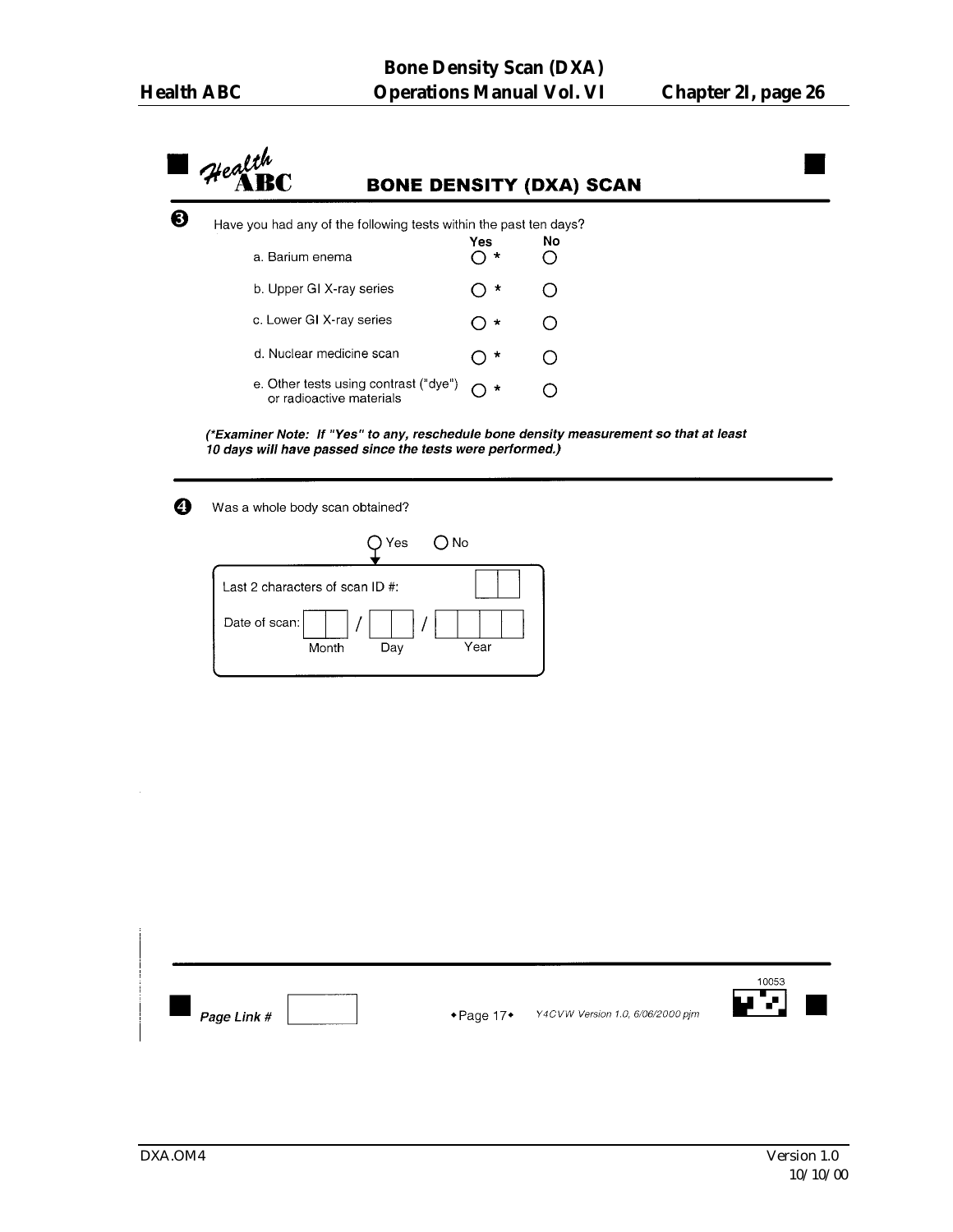Health **BONE DENSITY (DXA) SCAN** ❸ Have you had any of the following tests within the past ten days?  $No$ **Yes**  $\overline{O}$  \* a. Barium enema  $\circ$  $\circ$  \* b. Upper GI X-ray series  $\circ$ c. Lower GI X-ray series  $\bigcirc$  \*  $\circ$ d. Nuclear medicine scan  $\bigcirc$  \*  $\bigcirc$ e. Other tests using contrast ("dye")  $\bigcirc$  \*  $\bigcirc$ or radioactive materials (\*Examiner Note: If "Yes" to any, reschedule bone density measurement so that at least 10 days will have passed since the tests were performed.)  $\boldsymbol{\Theta}$ 

Was a whole body scan obtained?

| Yes                             | ONo  |
|---------------------------------|------|
| Last 2 characters of scan ID #: |      |
| Date of scan:<br>Month<br>Day   | Year |

| ◢▔▞▁▏<br>Y4CVW Version 1.0, 6/06/2000 pjm<br>$\bullet$ Page 17 $\bullet$<br>Page Link # |  |  |  |  |  | 10053 |  |
|-----------------------------------------------------------------------------------------|--|--|--|--|--|-------|--|
|-----------------------------------------------------------------------------------------|--|--|--|--|--|-------|--|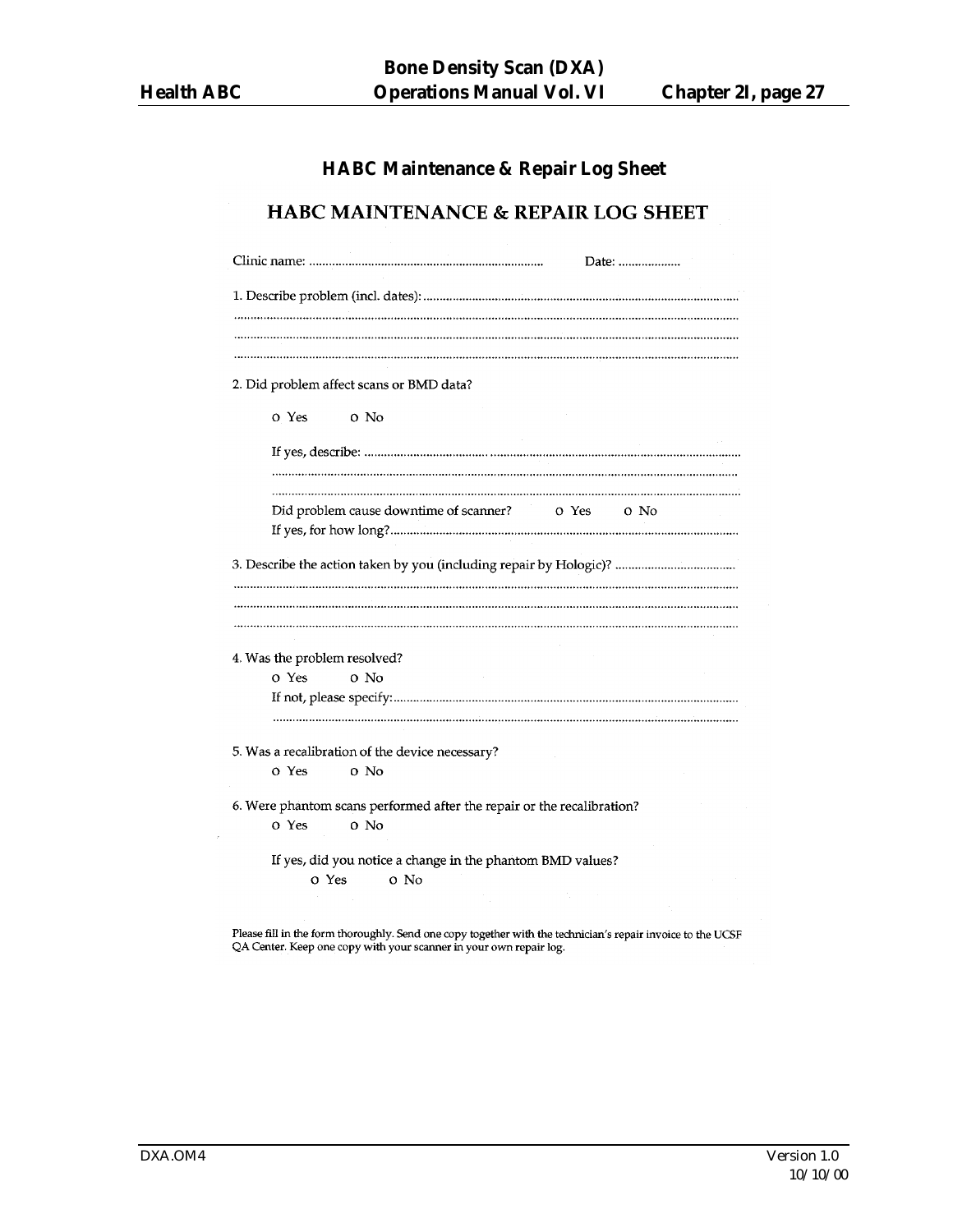# **HABC Maintenance & Repair Log Sheet**

#### HABC MAINTENANCE & REPAIR LOG SHEET

| Date:                                                                  |
|------------------------------------------------------------------------|
|                                                                        |
|                                                                        |
|                                                                        |
|                                                                        |
| 2. Did problem affect scans or BMD data?                               |
| o Yes<br>o No                                                          |
|                                                                        |
|                                                                        |
|                                                                        |
| Did problem cause downtime of scanner?<br>o Yes<br>o No                |
|                                                                        |
|                                                                        |
|                                                                        |
|                                                                        |
|                                                                        |
|                                                                        |
|                                                                        |
| 4. Was the problem resolved?                                           |
| o Yes<br>o No                                                          |
|                                                                        |
|                                                                        |
|                                                                        |
| 5. Was a recalibration of the device necessary?                        |
| o Yes<br>o No                                                          |
|                                                                        |
| 6. Were phantom scans performed after the repair or the recalibration? |
| o Yes<br>o No                                                          |
| If yes, did you notice a change in the phantom BMD values?             |
| o Yes<br>o No                                                          |
|                                                                        |
|                                                                        |

Please fill in the form thoroughly. Send one copy together with the technician's repair invoice to the UCSF QA Center. Keep one copy with your scanner in your own repair log.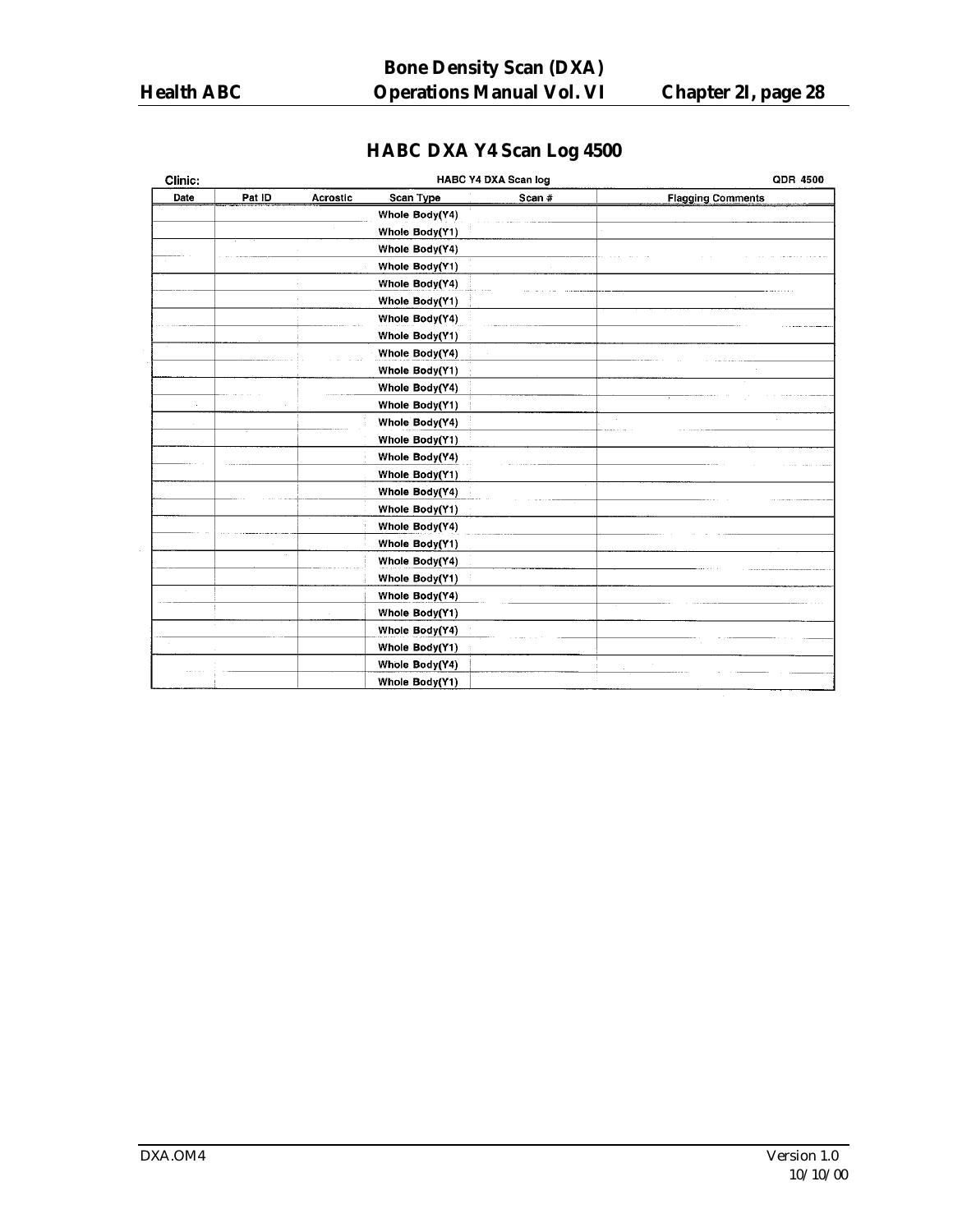# **HABC DXA Y4 Scan Log 4500**

| Clinic: |        |          |                | <b>HABC Y4 DXA Scan log</b> | <b>QDR 4500</b>          |
|---------|--------|----------|----------------|-----------------------------|--------------------------|
| Date    | Pat ID | Acrostic | Scan Type      | Scan #                      | <b>Flagging Comments</b> |
|         |        |          | Whole Body(Y4) |                             |                          |
|         |        |          | Whole Body(Y1) |                             |                          |
|         |        |          | Whole Body(Y4) |                             |                          |
|         |        |          | Whole Body(Y1) |                             |                          |
|         |        |          | Whole Body(Y4) |                             |                          |
|         |        |          | Whole Body(Y1) |                             |                          |
|         |        |          | Whole Body(Y4) |                             |                          |
|         |        |          | Whole Body(Y1) |                             |                          |
|         |        |          | Whole Body(Y4) |                             |                          |
|         |        |          | Whole Body(Y1) |                             |                          |
|         |        |          | Whole Body(Y4) |                             |                          |
|         |        |          | Whole Body(Y1) |                             |                          |
|         |        |          | Whole Body(Y4) |                             |                          |
|         |        |          | Whole Body(Y1) |                             |                          |
|         |        |          | Whole Body(Y4) |                             |                          |
|         |        |          | Whole Body(Y1) |                             |                          |
|         |        |          | Whole Body(Y4) |                             |                          |
|         |        |          | Whole Body(Y1) |                             |                          |
|         |        |          | Whole Body(Y4) |                             |                          |
|         |        |          | Whole Body(Y1) |                             |                          |
|         |        |          | Whole Body(Y4) |                             |                          |
|         |        |          | Whole Body(Y1) |                             |                          |
|         |        |          | Whole Body(Y4) |                             |                          |
|         |        |          | Whole Body(Y1) |                             |                          |
|         |        |          | Whole Body(Y4) |                             |                          |
|         |        |          | Whole Body(Y1) |                             |                          |
|         |        |          | Whole Body(Y4) |                             |                          |
|         |        |          | Whole Body(Y1) |                             |                          |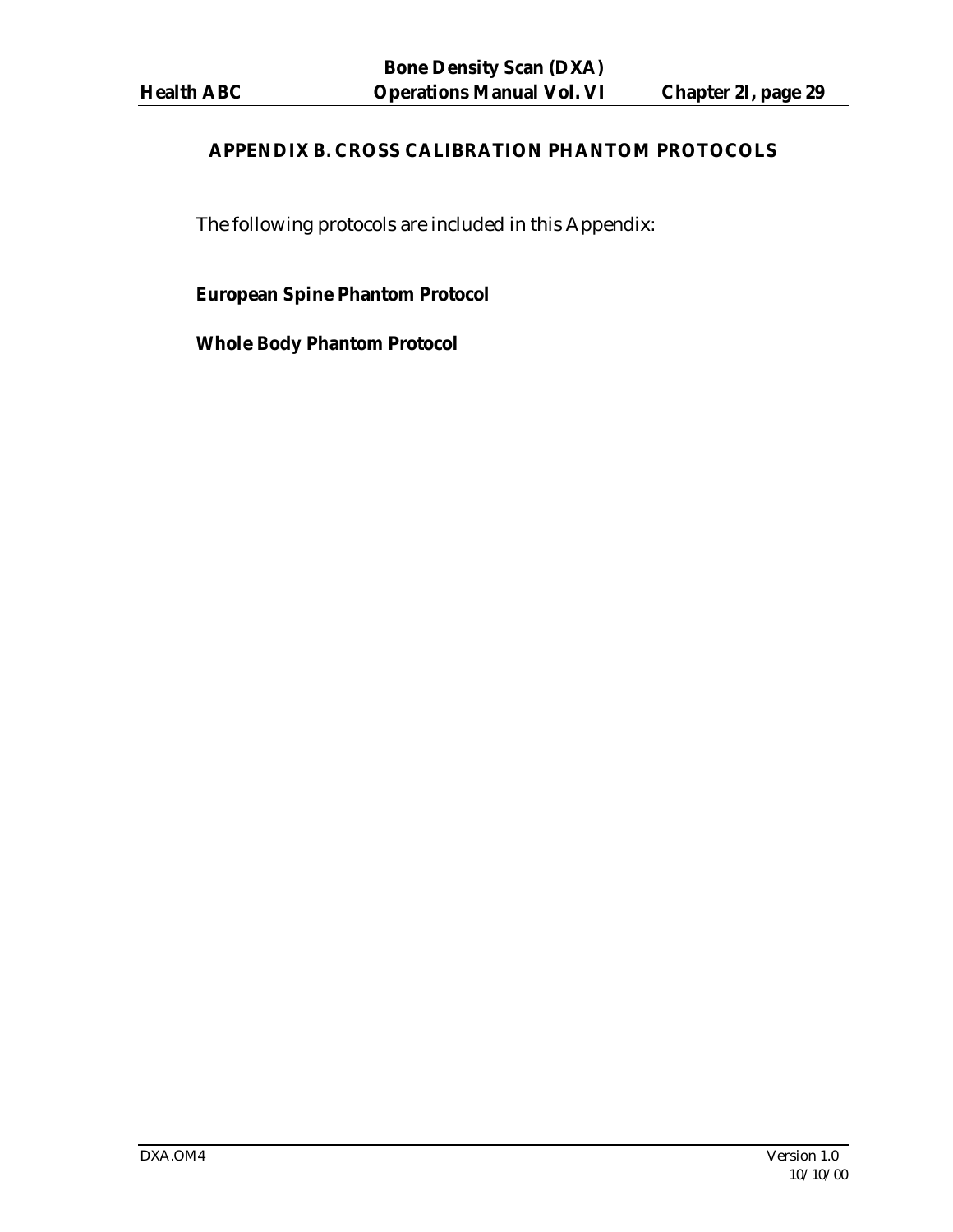# **APPENDIX B. CROSS CALIBRATION PHANTOM PROTOCOLS**

The following protocols are included in this Appendix:

# **European Spine Phantom Protocol**

**Whole Body Phantom Protocol**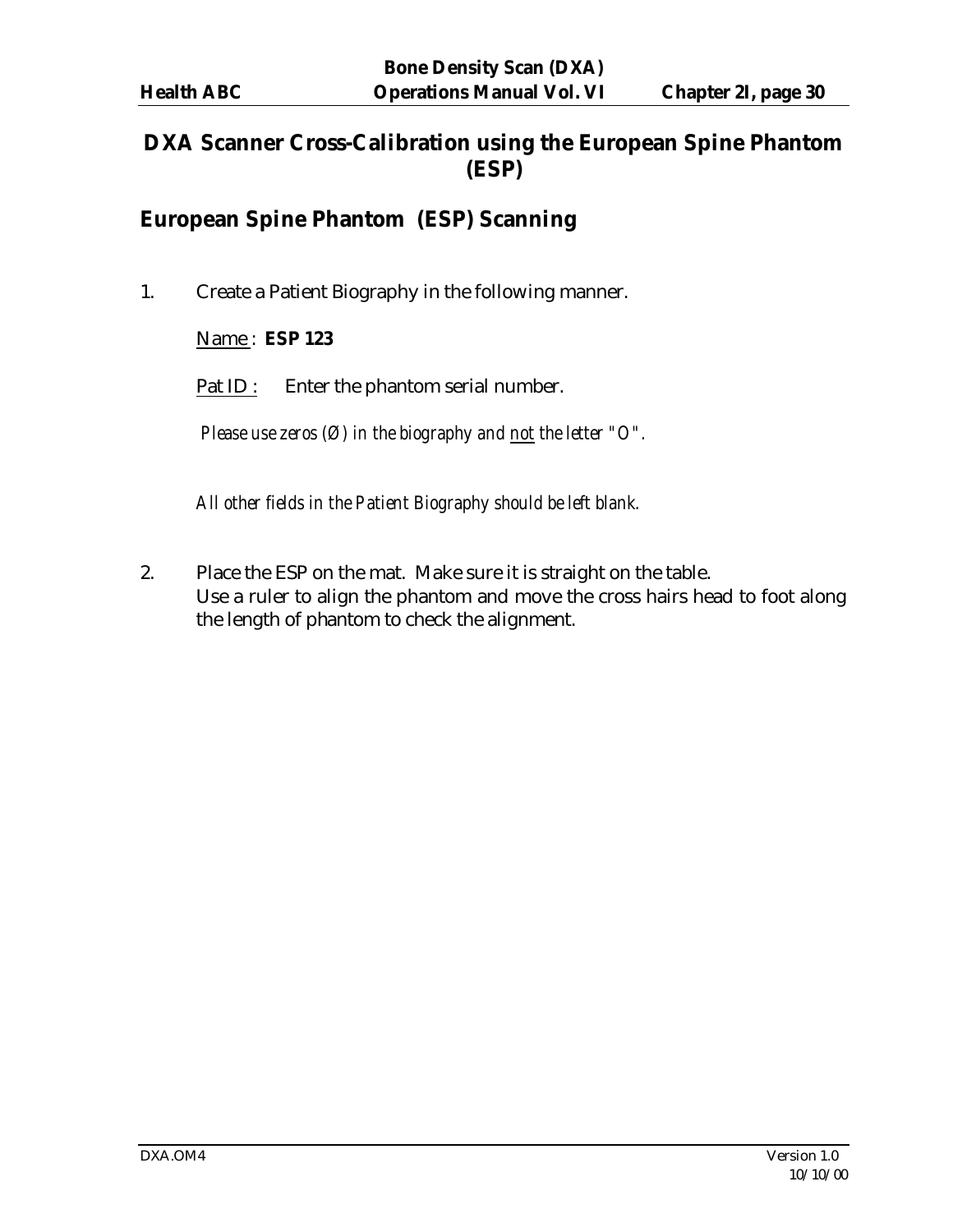# **DXA Scanner Cross-Calibration using the European Spine Phantom (ESP)**

# **European Spine Phantom (ESP) Scanning**

1. Create a Patient Biography in the following manner.

#### Name : **ESP 123**

Pat ID : Enter the phantom serial number.

*Please use zeros (Ø) in the biography and not the letter "O".*

*All other fields in the Patient Biography should be left blank.*

2. Place the ESP on the mat. Make sure it is straight on the table. Use a ruler to align the phantom and move the cross hairs head to foot along the length of phantom to check the alignment.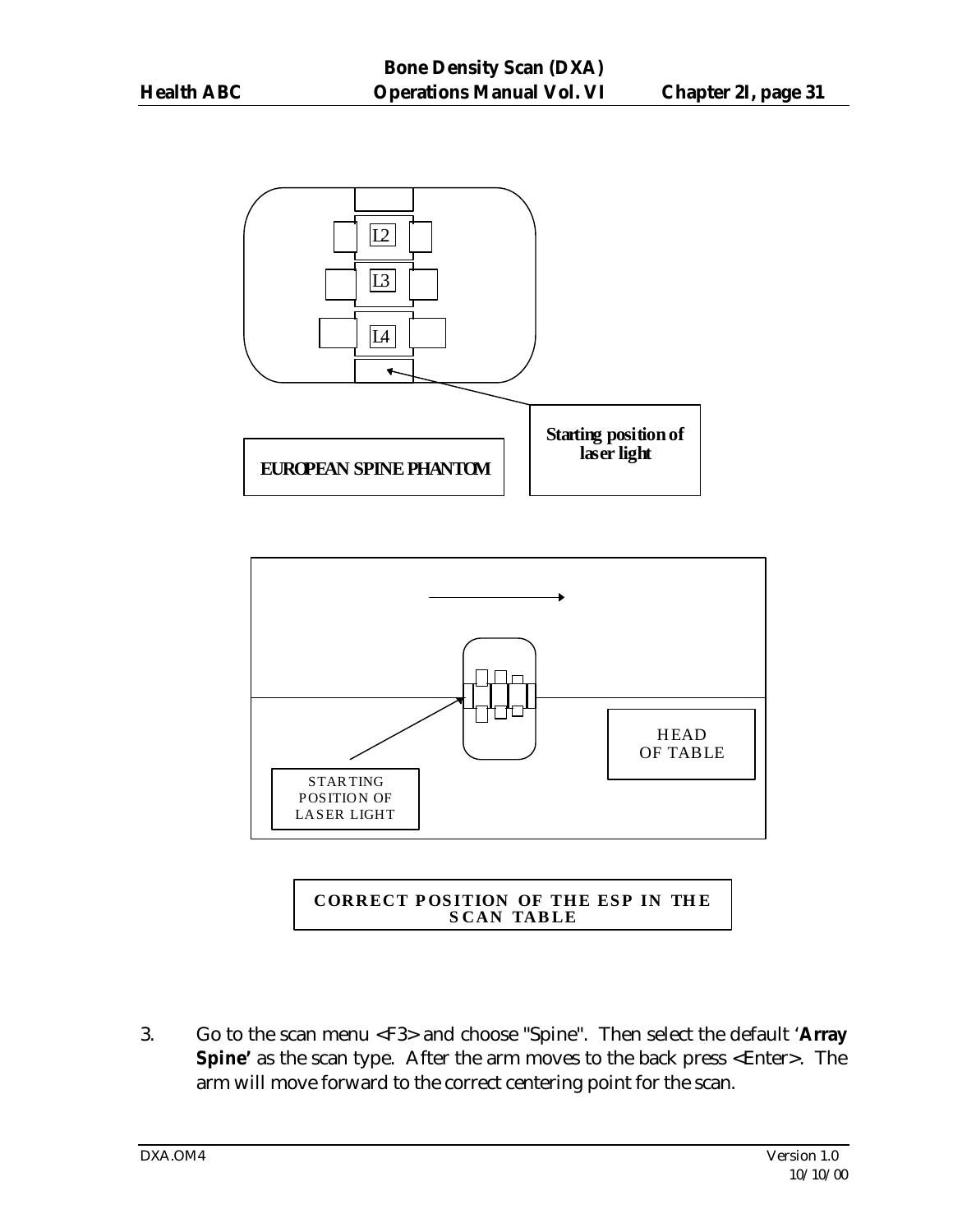



**CORRECT POS ITION OF THE ESP IN TH E S CAN TAB LE**

3. Go to the scan menu <F3> and choose "Spine". Then select the default '**Array Spine'** as the scan type. After the arm moves to the back press <Enter>. The arm will move forward to the correct centering point for the scan.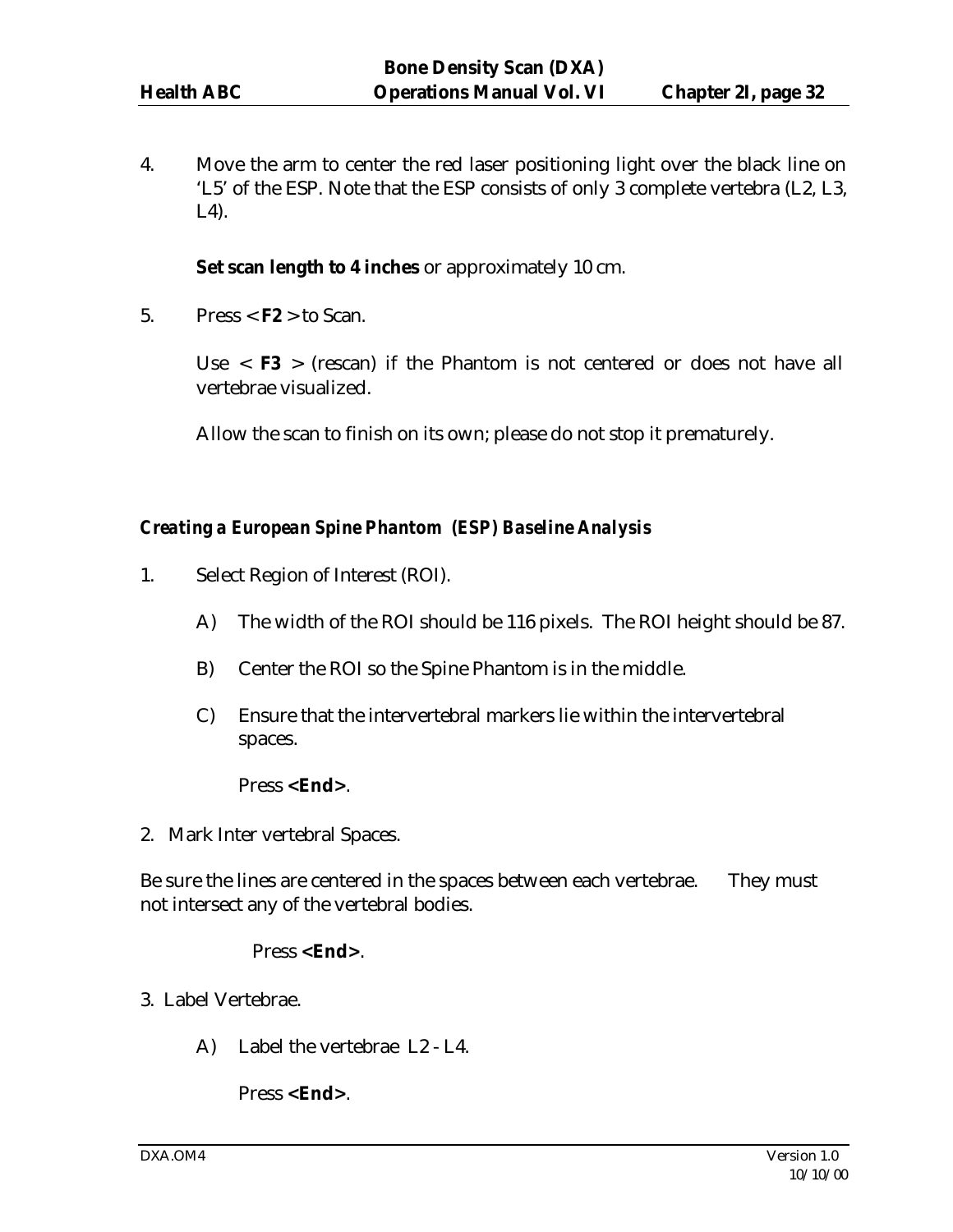4. Move the arm to center the red laser positioning light over the black line on 'L5' of the ESP. Note that the ESP consists of only 3 complete vertebra (L2, L3, L4).

#### **Set scan length to 4 inches** or approximately 10 cm.

5. Press  $\leq$  **F2**  $>$  to Scan.

Use  $\langle$  **F3**  $>$  (rescan) if the Phantom is not centered or does not have all vertebrae visualized.

Allow the scan to finish on its own; please do not stop it prematurely.

#### *Creating a European Spine Phantom (ESP) Baseline Analysis*

- 1. Select Region of Interest (ROI).
	- A) The width of the ROI should be 116 pixels. The ROI height should be 87.
	- B) Center the ROI so the Spine Phantom is in the middle.
	- C) Ensure that the intervertebral markers lie within the intervertebral spaces.

#### Press **<End>**.

2. Mark Inter vertebral Spaces.

Be sure the lines are centered in the spaces between each vertebrae. They must not intersect any of the vertebral bodies.

#### Press **<End>**.

- 3. Label Vertebrae.
	- A) Label the vertebrae L2 L4.

Press **<End>**.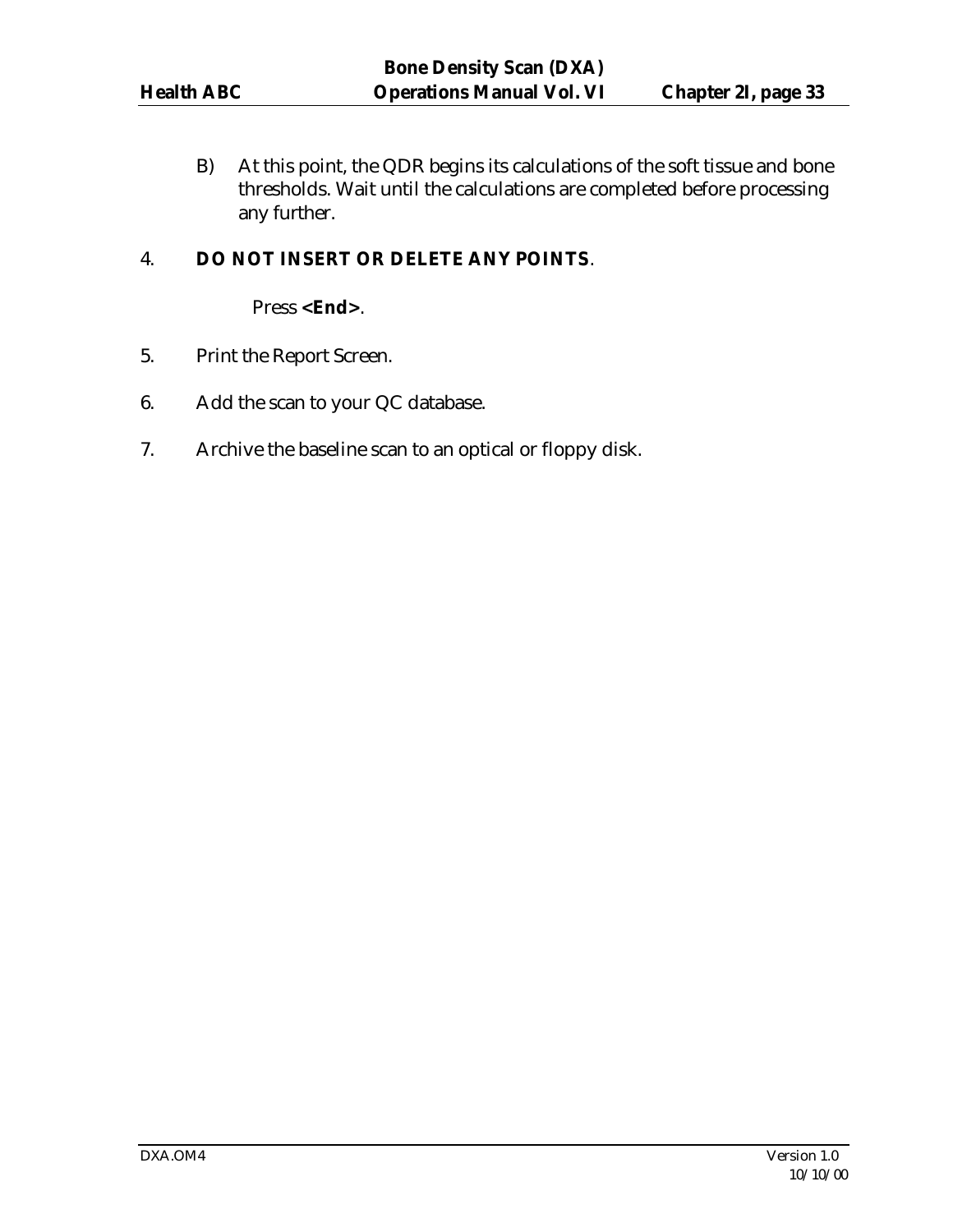B) At this point, the QDR begins its calculations of the soft tissue and bone thresholds. Wait until the calculations are completed before processing any further.

# 4. **DO NOT INSERT OR DELETE ANY POINTS**.

Press **<End>**.

- 5. Print the Report Screen.
- 6. Add the scan to your QC database.
- 7. Archive the baseline scan to an optical or floppy disk.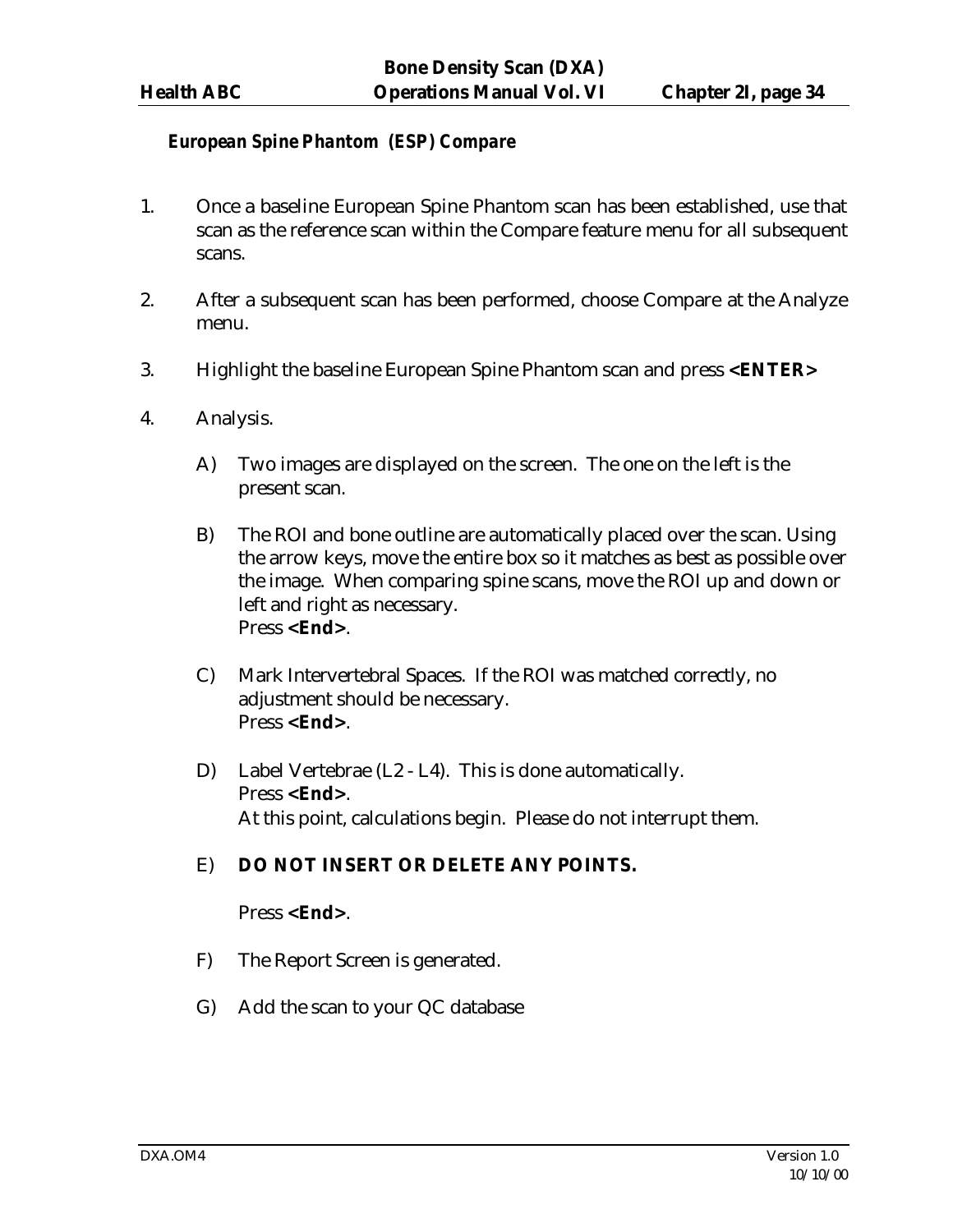#### *European Spine Phantom (ESP) Compare*

- 1. Once a baseline European Spine Phantom scan has been established, use that scan as the reference scan within the Compare feature menu for all subsequent scans.
- 2. After a subsequent scan has been performed, choose Compare at the Analyze menu.
- 3. Highlight the baseline European Spine Phantom scan and press **<ENTER>**
- 4. Analysis.
	- A) Two images are displayed on the screen. The one on the left is the present scan.
	- B) The ROI and bone outline are automatically placed over the scan. Using the arrow keys, move the entire box so it matches as best as possible over the image. When comparing spine scans, move the ROI up and down or left and right as necessary. Press **<End>**.
	- C) Mark Intervertebral Spaces. If the ROI was matched correctly, no adjustment should be necessary. Press **<End>**.
	- D) Label Vertebrae (L2 L4). This is done automatically. Press **<End>**. At this point, calculations begin. Please do not interrupt them.

#### E) **DO NOT INSERT OR DELETE ANY POINTS.**

#### Press **<End>**.

- F) The Report Screen is generated.
- G) Add the scan to your QC database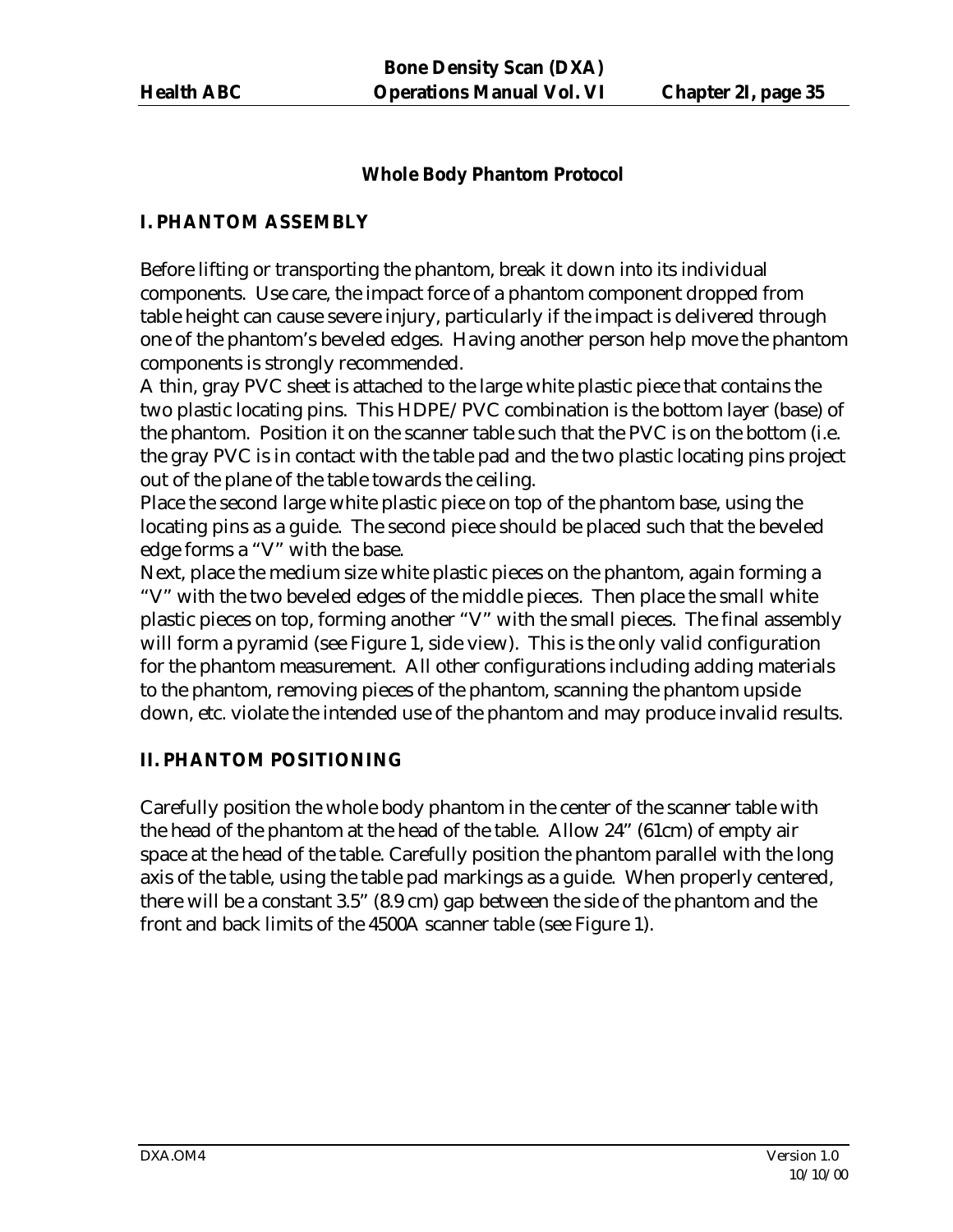# **Whole Body Phantom Protocol**

### **I. PHANTOM ASSEMBLY**

Before lifting or transporting the phantom, break it down into its individual components. Use care, the impact force of a phantom component dropped from table height can cause severe injury, particularly if the impact is delivered through one of the phantom's beveled edges. Having another person help move the phantom components is strongly recommended.

A thin, gray PVC sheet is attached to the large white plastic piece that contains the two plastic locating pins. This HDPE/PVC combination is the bottom layer (base) of the phantom. Position it on the scanner table such that the PVC is on the bottom (i.e. the gray PVC is in contact with the table pad and the two plastic locating pins project out of the plane of the table towards the ceiling.

Place the second large white plastic piece on top of the phantom base, using the locating pins as a guide. The second piece should be placed such that the beveled edge forms a "V" with the base.

Next, place the medium size white plastic pieces on the phantom, again forming a "V" with the two beveled edges of the middle pieces. Then place the small white plastic pieces on top, forming another "V" with the small pieces. The final assembly will form a pyramid (see Figure 1, side view). This is the only valid configuration for the phantom measurement. All other configurations including adding materials to the phantom, removing pieces of the phantom, scanning the phantom upside down, etc. violate the intended use of the phantom and may produce invalid results.

# **II. PHANTOM POSITIONING**

Carefully position the whole body phantom in the center of the scanner table with the head of the phantom at the head of the table. Allow 24" (61cm) of empty air space at the head of the table. Carefully position the phantom parallel with the long axis of the table, using the table pad markings as a guide. When properly centered, there will be a constant 3.5" (8.9 cm) gap between the side of the phantom and the front and back limits of the 4500A scanner table (see Figure 1).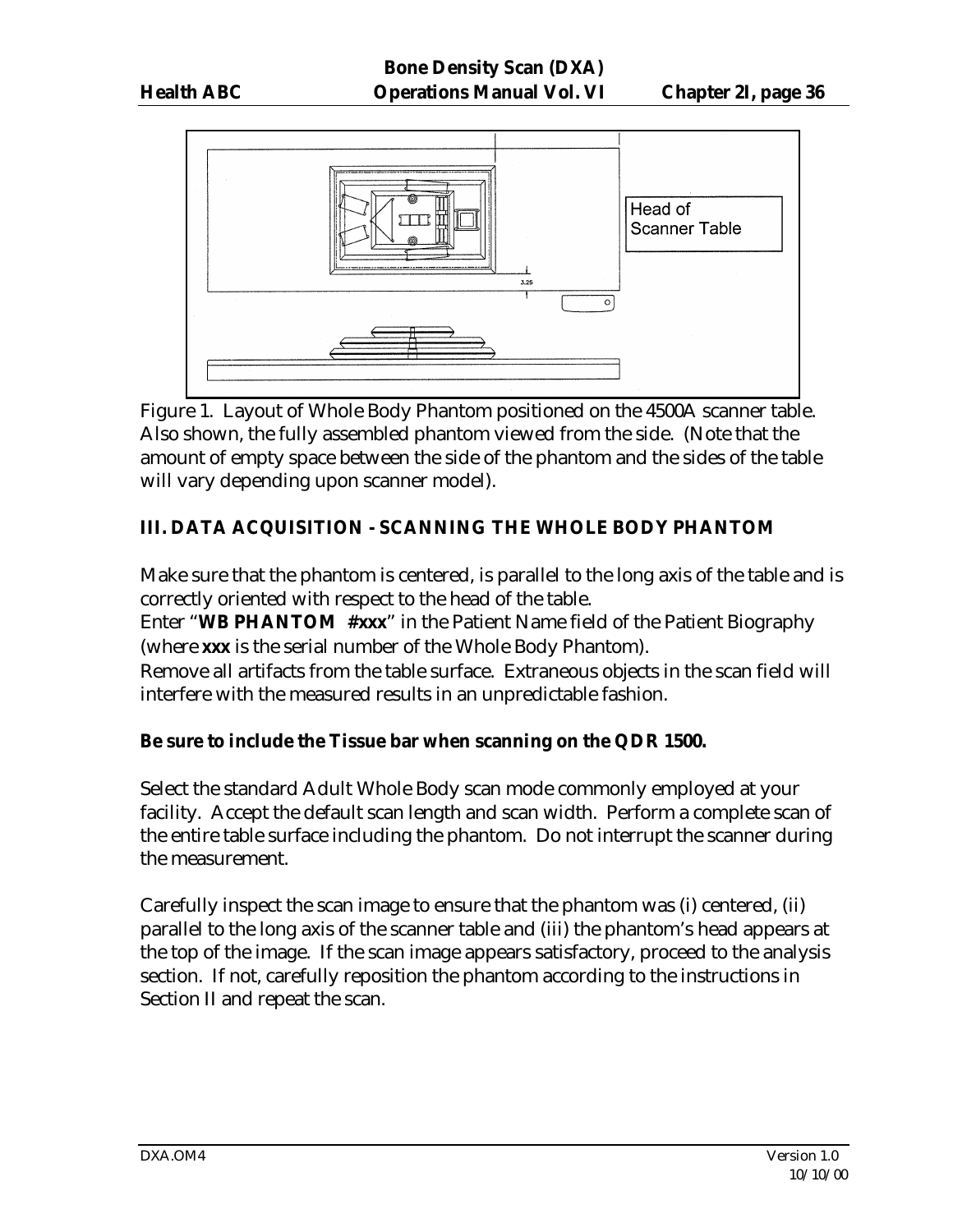

Figure 1. Layout of Whole Body Phantom positioned on the 4500A scanner table. Also shown, the fully assembled phantom viewed from the side. (Note that the amount of empty space between the side of the phantom and the sides of the table will vary depending upon scanner model).

# **III. DATA ACQUISITION - SCANNING THE WHOLE BODY PHANTOM**

Make sure that the phantom is centered, is parallel to the long axis of the table and is correctly oriented with respect to the head of the table.

Enter "**WB PHANTOM #xxx**" in the Patient Name field of the Patient Biography (where **xxx** is the serial number of the Whole Body Phantom).

Remove all artifacts from the table surface. Extraneous objects in the scan field will interfere with the measured results in an unpredictable fashion.

#### **Be sure to include the Tissue bar when scanning on the QDR 1500.**

Select the standard Adult Whole Body scan mode commonly employed at your facility. Accept the default scan length and scan width. Perform a complete scan of the entire table surface including the phantom. Do not interrupt the scanner during the measurement.

Carefully inspect the scan image to ensure that the phantom was (i) centered, (ii) parallel to the long axis of the scanner table and (iii) the phantom's head appears at the top of the image. If the scan image appears satisfactory, proceed to the analysis section. If not, carefully reposition the phantom according to the instructions in Section II and repeat the scan.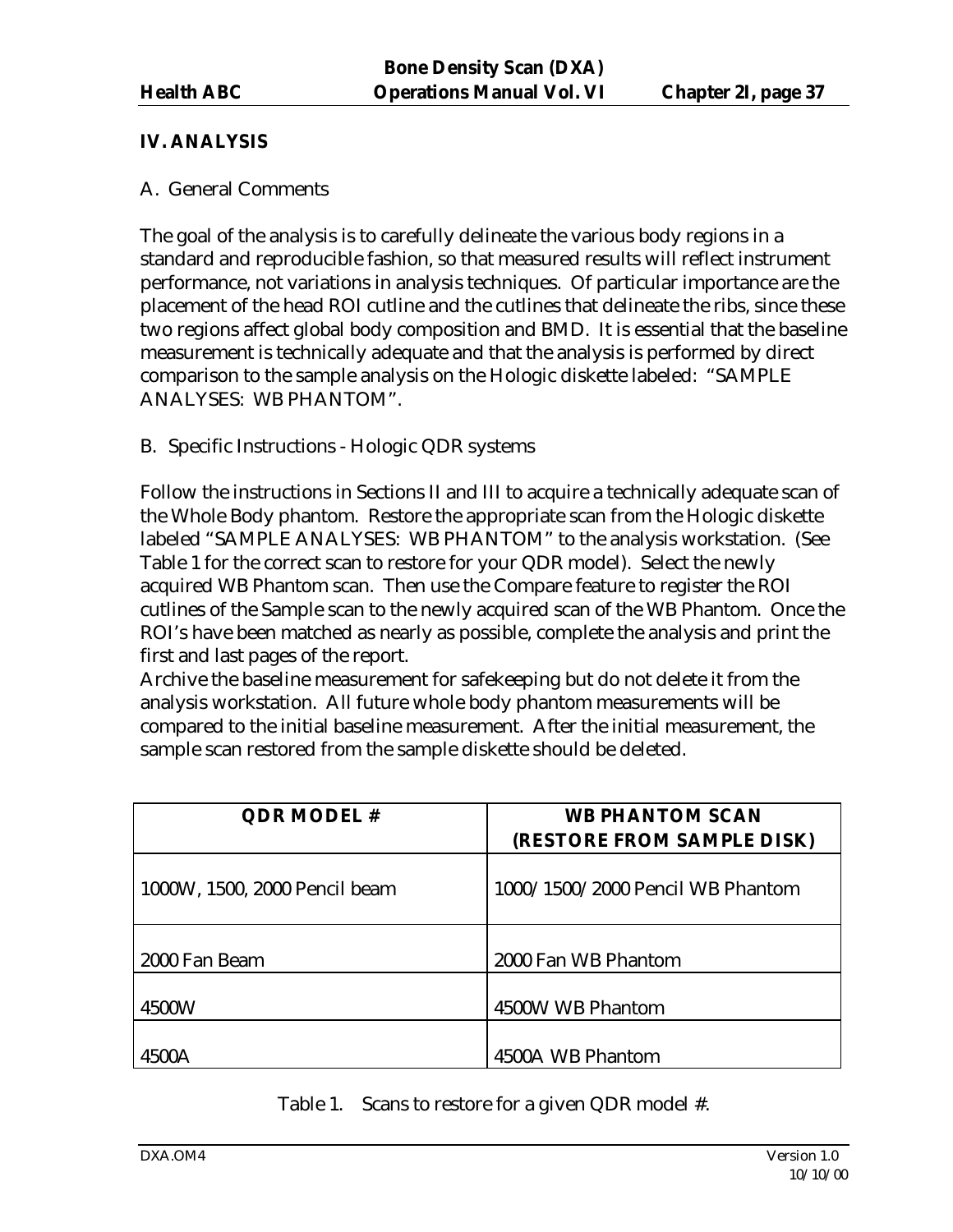# **IV. ANALYSIS**

#### A. General Comments

The goal of the analysis is to carefully delineate the various body regions in a standard and reproducible fashion, so that measured results will reflect instrument performance, not variations in analysis techniques. Of particular importance are the placement of the head ROI cutline and the cutlines that delineate the ribs, since these two regions affect global body composition and BMD. It is essential that the baseline measurement is technically adequate and that the analysis is performed by direct comparison to the sample analysis on the Hologic diskette labeled: "SAMPLE ANALYSES: WB PHANTOM".

#### B. Specific Instructions - Hologic QDR systems

Follow the instructions in Sections II and III to acquire a technically adequate scan of the Whole Body phantom. Restore the appropriate scan from the Hologic diskette labeled "SAMPLE ANALYSES: WB PHANTOM" to the analysis workstation. (See Table 1 for the correct scan to restore for your QDR model). Select the newly acquired WB Phantom scan. Then use the Compare feature to register the ROI cutlines of the Sample scan to the newly acquired scan of the WB Phantom. Once the ROI's have been matched as nearly as possible, complete the analysis and print the first and last pages of the report.

Archive the baseline measurement for safekeeping but do not delete it from the analysis workstation. All future whole body phantom measurements will be compared to the initial baseline measurement. After the initial measurement, the sample scan restored from the sample diskette should be deleted.

| <b>QDR MODEL#</b>             | <b>WB PHANTOM SCAN</b><br>(RESTORE FROM SAMPLE DISK) |
|-------------------------------|------------------------------------------------------|
| 1000W, 1500, 2000 Pencil beam | 1000/1500/2000 Pencil WB Phantom                     |
| 2000 Fan Beam                 | 2000 Fan WB Phantom                                  |
| 4500W                         | 4500W WB Phantom                                     |
| 4500A                         | 4500A WB Phantom                                     |

Table 1. Scans to restore for a given QDR model #.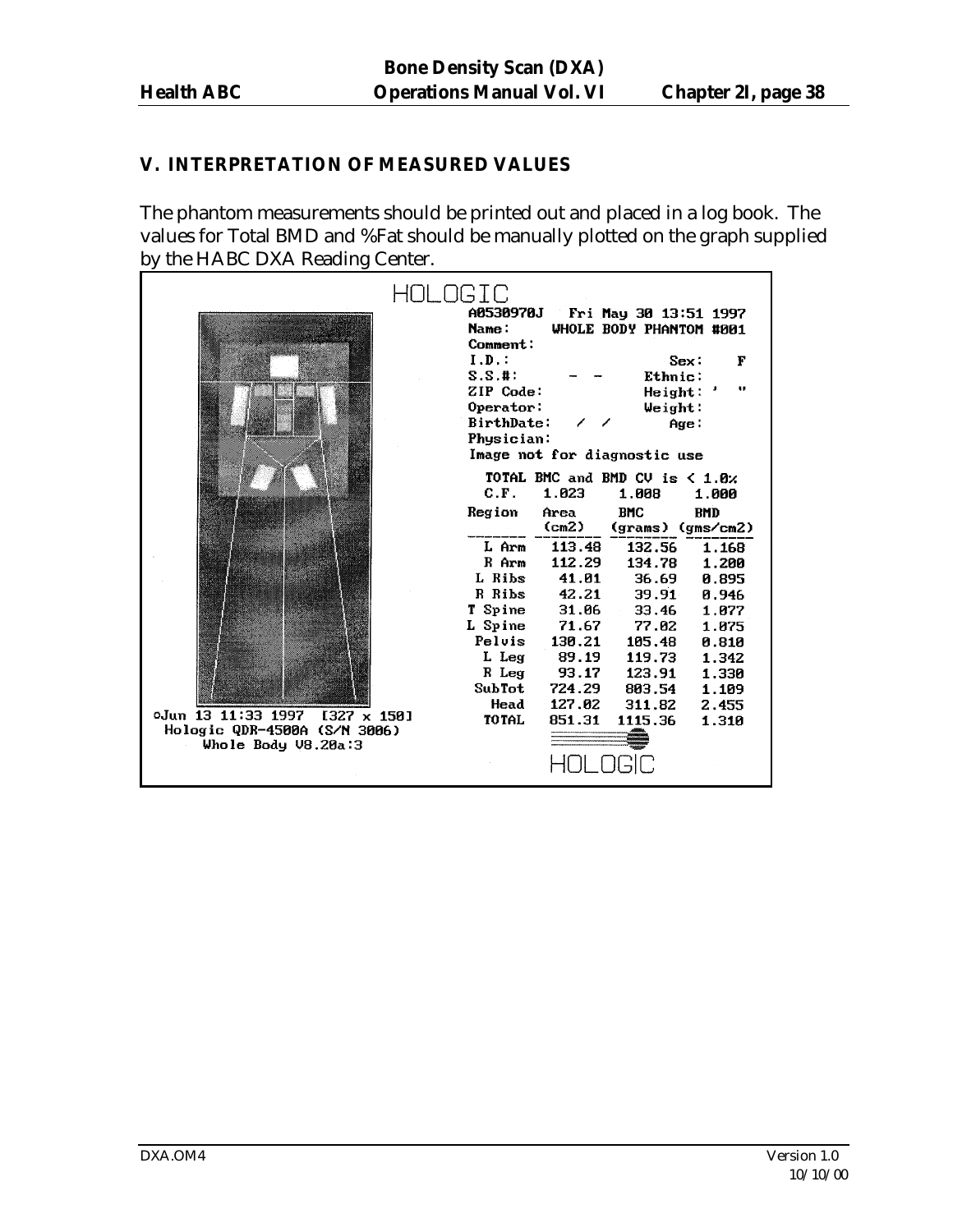# **V. INTERPRETATION OF MEASURED VALUES**

The phantom measurements should be printed out and placed in a log book. The values for Total BMD and %Fat should be manually plotted on the graph supplied by the HABC DXA Reading Center.

|                                                                   | OLOGIC<br>A0530970J<br>Fri May 30 13:51 1997<br><b>Name:</b><br>WHOLE BODY PHANTOM #001<br>Comment:<br>$I.D.$ :<br>Sex:<br>F<br>$S.S.$ #:<br>Ethnic:<br>$\bullet\bullet$<br>ZIP Code:<br>Height:<br>Operator:<br>Weight:<br>BirthDate:<br>Age:<br>Physician:<br>Image not for diagnostic use |
|-------------------------------------------------------------------|----------------------------------------------------------------------------------------------------------------------------------------------------------------------------------------------------------------------------------------------------------------------------------------------|
|                                                                   | TOTAL BMC and BMD CV is $\leq 1.8$ %<br>C.F.<br>1.023<br>1.008                                                                                                                                                                                                                               |
|                                                                   | 1.000<br>Region<br><b>BMC</b><br>Area<br><b>BMD</b><br>$/cm2$ )<br>(grams) (gms/cm2)                                                                                                                                                                                                         |
|                                                                   | 113.48<br>132.56<br>L Arm<br>1.168                                                                                                                                                                                                                                                           |
|                                                                   | 112.29<br>R Arm<br>134.78<br>1.200                                                                                                                                                                                                                                                           |
|                                                                   | 41.01<br>L Ribs<br>36.69<br>0.895                                                                                                                                                                                                                                                            |
|                                                                   | R Ribs<br>42.21<br>39.91<br>0.946                                                                                                                                                                                                                                                            |
|                                                                   | T Spine<br>31.06<br>33.46<br>1.077                                                                                                                                                                                                                                                           |
|                                                                   | L Spine<br>71.67<br>77.02<br>1.075                                                                                                                                                                                                                                                           |
|                                                                   | Pelvis<br>130.21<br>105.48<br>0.810<br>L Leg<br>89.19<br>119.73<br>1.342                                                                                                                                                                                                                     |
|                                                                   | R Leg<br>93.17<br>123.91<br>1.330                                                                                                                                                                                                                                                            |
|                                                                   | SubTot<br>724.29<br>803.54<br>1.109                                                                                                                                                                                                                                                          |
|                                                                   | 127.02<br>Head<br>311.82<br>2.455                                                                                                                                                                                                                                                            |
| oJun 13 11:33 1997<br>$1327 \times 150$                           | <b>TOTAL</b><br>851.31<br>1115.36<br>1.310                                                                                                                                                                                                                                                   |
| Hologic QDR-4500A (S/N 3006)<br>Whole Body $\overline{v}$ 8.20a:3 |                                                                                                                                                                                                                                                                                              |
|                                                                   |                                                                                                                                                                                                                                                                                              |